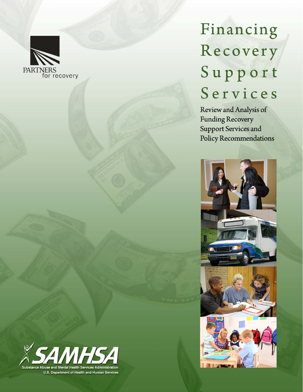

# Financing Recovery Support Services

Review and Analysis of **Funding Recovery** Support Services and Policy Recommendations



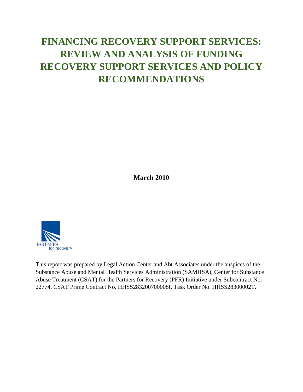## **FINANCING RECOVERY SUPPORT SERVICES: REVIEW AND ANALYSIS OF FUNDING RECOVERY SUPPORT SERVICES AND POLICY RECOMMENDATIONS**

**March 2010** 



This report was prepared by Legal Action Center and Abt Associates under the auspices of the Substance Abuse and Mental Health Services Administration (SAMHSA), Center for Substance Abuse Treatment (CSAT) for the Partners for Recovery (PFR) Initiative under Subcontract No. 22774, CSAT Prime Contract No. HHSS283200700008I, Task Order No. HHSS28300002T.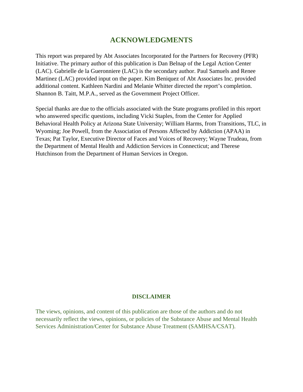### **ACKNOWLEDGMENTS**

<span id="page-3-0"></span>This report was prepared by Abt Associates Incorporated for the Partners for Recovery (PFR) Initiative. The primary author of this publication is Dan Belnap of the Legal Action Center (LAC). Gabrielle de la Gueronniere (LAC) is the secondary author. Paul Samuels and Renee Martinez (LAC) provided input on the paper. Kim Beniquez of Abt Associates Inc. provided additional content. Kathleen Nardini and Melanie Whitter directed the report's completion. Shannon B. Taitt, M.P.A., served as the Government Project Officer.

Special thanks are due to the officials associated with the State programs profiled in this report who answered specific questions, including Vicki Staples, from the Center for Applied Behavioral Health Policy at Arizona State University; William Harms, from Transitions, TLC, in Wyoming; Joe Powell, from the Association of Persons Affected by Addiction (APAA) in Texas; Pat Taylor, Executive Director of Faces and Voices of Recovery; Wayne Trudeau, from the Department of Mental Health and Addiction Services in Connecticut; and Therese Hutchinson from the Department of Human Services in Oregon.

#### **DISCLAIMER**

The views, opinions, and content of this publication are those of the authors and do not necessarily reflect the views, opinions, or policies of the Substance Abuse and Mental Health Services Administration/Center for Substance Abuse Treatment (SAMHSA/CSAT).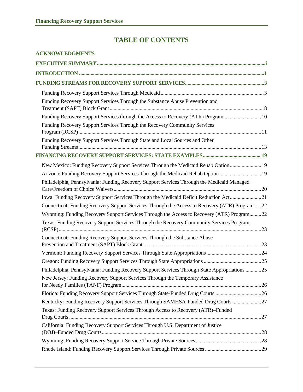## **TABLE OF CONTENTS**

| <b>ACKNOWLEDGMENTS</b>                                                                         |
|------------------------------------------------------------------------------------------------|
|                                                                                                |
|                                                                                                |
|                                                                                                |
|                                                                                                |
| Funding Recovery Support Services Through the Substance Abuse Prevention and                   |
| Funding Recovery Support Services through the Access to Recovery (ATR) Program 10              |
| Funding Recovery Support Services Through the Recovery Community Services                      |
| Funding Recovery Support Services Through State and Local Sources and Other                    |
|                                                                                                |
| New Mexico: Funding Recovery Support Services Through the Medicaid Rehab Option 19             |
| Arizona: Funding Recovery Support Services Through the Medicaid Rehab Option  19               |
| Philadelphia, Pennsylvania: Funding Recovery Support Services Through the Medicaid Managed     |
| Iowa: Funding Recovery Support Services Through the Medicaid Deficit Reduction Act21           |
| Connecticut: Funding Recovery Support Services Through the Access to Recovery (ATR) Program 22 |
| Wyoming: Funding Recovery Support Services Through the Access to Recovery (ATR) Program22      |
| Texas: Funding Recovery Support Services Through the Recovery Community Services Program       |
| Connecticut: Funding Recovery Support Services Through the Substance Abuse                     |
|                                                                                                |
|                                                                                                |
| Philadelphia, Pennsylvania: Funding Recovery Support Services Through State Appropriations 25  |
| New Jersey: Funding Recovery Support Services Through the Temporary Assistance                 |
| Florida: Funding Recovery Support Services Through State-Funded Drug Courts 26                 |
| Kentucky: Funding Recovery Support Services Through SAMHSA-Funded Drug Courts 27               |
| Texas: Funding Recovery Support Services Through Access to Recovery (ATR)-Funded               |
| California: Funding Recovery Support Services Through U.S. Department of Justice               |
|                                                                                                |
|                                                                                                |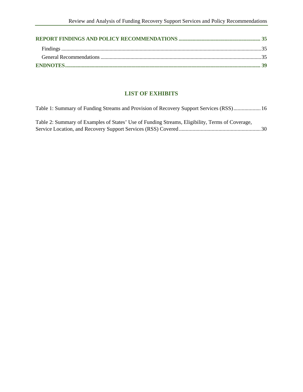#### **LIST OF EXHIBITS**

| Table 1: Summary of Funding Streams and Provision of Recovery Support Services (RSS) 16         |  |
|-------------------------------------------------------------------------------------------------|--|
| Table 2: Summary of Examples of States' Use of Funding Streams, Eligibility, Terms of Coverage, |  |
|                                                                                                 |  |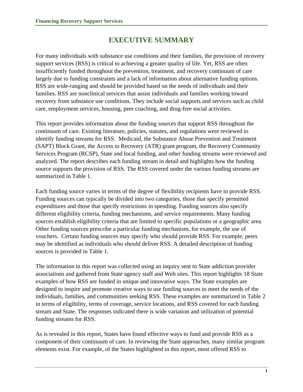## **EXECUTIVE SUMMARY**

<span id="page-6-0"></span>For many individuals with substance use conditions and their families, the provision of recovery support services (RSS) is critical to achieving a greater quality of life. Yet, RSS are often insufficiently funded throughout the prevention, treatment, and recovery continuum of care largely due to funding constraints and a lack of information about alternative funding options. RSS are wide-ranging and should be provided based on the needs of individuals and their families. RSS are nonclinical services that assist individuals and families working toward recovery from substance use conditions. They include social supports and services such as child care, employment services, housing, peer coaching, and drug-free social activities.

This report provides information about the funding sources that support RSS throughout the continuum of care. Existing literature, policies, statutes, and regulations were reviewed to identify funding streams for RSS. Medicaid, the Substance Abuse Prevention and Treatment (SAPT) Block Grant, the Access to Recovery (ATR) grant program, the Recovery Community Services Program (RCSP), State and local funding, and other funding streams were reviewed and analyzed. The report describes each funding stream in detail and highlights how the funding source supports the provision of RSS. The RSS covered under the various funding streams are summarized in Table 1.

Each funding source varies in terms of the degree of flexibility recipients have to provide RSS. Funding sources can typically be divided into two categories, those that specify permitted expenditures and those that specify restrictions in spending. Funding sources also specify different eligibility criteria, funding mechanisms, and service requirements. Many funding sources establish eligibility criteria that are limited to specific populations or a geographic area. Other funding sources prescribe a particular funding mechanism, for example, the use of vouchers. Certain funding sources may specify who should provide RSS. For example, peers may be identified as individuals who should deliver RSS. A detailed description of funding sources is provided in Table 1.

The information in this report was collected using an inquiry sent to State addiction provider associations and gathered from State agency staff and Web sites. This report highlights 18 State examples of how RSS are funded in unique and innovative ways. The State examples are designed to inspire and promote creative ways to use funding sources to meet the needs of the individuals, families, and communities seeking RSS. These examples are summarized in Table 2 in terms of eligibility, terms of coverage, service locations, and RSS covered for each funding stream and State. The responses indicated there is wide variation and utilization of potential funding streams for RSS.

As is revealed in this report, States have found effective ways to fund and provide RSS as a component of their continuum of care. In reviewing the State approaches, many similar program elements exist. For example, of the States highlighted in this report, most offered RSS to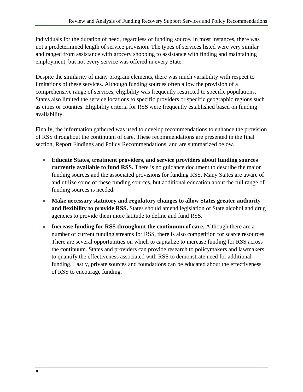individuals for the duration of need, regardless of funding source. In most instances, there was not a predetermined length of service provision. The types of services listed were very similar and ranged from assistance with grocery shopping to assistance with finding and maintaining employment, but not every service was offered in every State.

Despite the similarity of many program elements, there was much variability with respect to limitations of these services. Although funding sources often allow the provision of a comprehensive range of services, eligibility was frequently restricted to specific populations. States also limited the service locations to specific providers or specific geographic regions such as cities or counties. Eligibility criteria for RSS were frequently established based on funding availability.

Finally, the information gathered was used to develop recommendations to enhance the provision of RSS throughout the continuum of care. These recommendations are presented in the final section, Report Findings and Policy Recommendations, and are summarized below.

- **Educate States, treatment providers, and service providers about funding sources currently available to fund RSS.** There is no guidance document to describe the major funding sources and the associated provisions for funding RSS. Many States are aware of and utilize some of these funding sources, but additional education about the full range of funding sources is needed.
- **Make necessary statutory and regulatory changes to allow States greater authority and flexibility to provide RSS.** States should amend legislation of State alcohol and drug agencies to provide them more latitude to define and fund RSS.
- **Increase funding for RSS throughout the continuum of care.** Although there are a number of current funding streams for RSS, there is also competition for scarce resources. There are several opportunities on which to capitalize to increase funding for RSS across the continuum. States and providers can provide research to policymakers and lawmakers to quantify the effectiveness associated with RSS to demonstrate need for additional funding. Lastly, private sources and foundations can be educated about the effectiveness of RSS to encourage funding.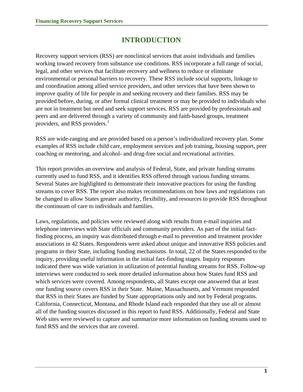## **INTRODUCTION**

<span id="page-8-0"></span>Recovery support services (RSS) are nonclinical services that assist individuals and families working toward recovery from substance use conditions. RSS incorporate a full range of social, legal, and other services that facilitate recovery and wellness to reduce or eliminate environmental or personal barriers to recovery. These RSS include social supports, linkage to and coordination among allied service providers, and other services that have been shown to improve quality of life for people in and seeking recovery and their families. RSS may be provided before, during, or after formal clinical treatment or may be provided to individuals who are not in treatment but need and seek support services. RSS are provided by professionals and peers and are delivered through a variety of community and faith-based groups, treatment providers, and RSS providers. $<sup>1</sup>$  $<sup>1</sup>$  $<sup>1</sup>$ </sup>

RSS are wide-ranging and are provided based on a person's individualized recovery plan. Some examples of RSS include child care, employment services and job training, housing support, peer coaching or mentoring, and alcohol- and drug-free social and recreational activities.

This report provides an overview and analysis of Federal, State, and private funding streams currently used to fund RSS, and it identifies RSS offered through various funding streams. Several States are highlighted to demonstrate their innovative practices for using the funding streams to cover RSS. The report also makes recommendations on how laws and regulations can be changed to allow States greater authority, flexibility, and resources to provide RSS throughout the continuum of care to individuals and families.

Laws, regulations, and policies were reviewed along with results from e-mail inquiries and telephone interviews with State officials and community providers. As part of the initial factfinding process, an inquiry was distributed through e-mail to prevention and treatment provider associations in 42 States. Respondents were asked about unique and innovative RSS policies and programs in their State, including funding mechanisms. In total, 22 of the States responded to the inquiry, providing useful information in the initial fact-finding stages. Inquiry responses indicated there was wide variation in utilization of potential funding streams for RSS. Follow-up interviews were conducted to seek more detailed information about how States fund RSS and which services were covered. Among respondents, all States except one answered that at least one funding source covers RSS in their State. Maine, Massachusetts, and Vermont responded that RSS in their States are funded by State appropriations only and not by Federal programs. California, Connecticut, Montana, and Rhode Island each responded that they use all or almost all of the funding sources discussed in this report to fund RSS. Additionally, Federal and State Web sites were reviewed to capture and summarize more information on funding streams used to fund RSS and the services that are covered.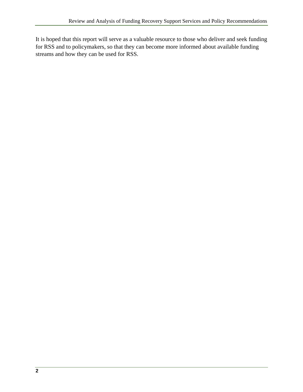It is hoped that this report will serve as a valuable resource to those who deliver and seek funding for RSS and to policymakers, so that they can become more informed about available funding streams and how they can be used for RSS.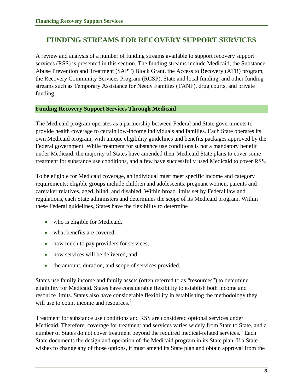## <span id="page-10-0"></span>**FUNDING STREAMS FOR RECOVERY SUPPORT SERVICES**

A review and analysis of a number of funding streams available to support recovery support services (RSS) is presented in this section. The funding streams include Medicaid, the Substance Abuse Prevention and Treatment (SAPT) Block Grant, the Access to Recovery (ATR) program, the Recovery Community Services Program (RCSP), State and local funding, and other funding streams such as Temporary Assistance for Needy Families (TANF), drug courts, and private funding.

#### **Funding Recovery Support Services Through Medicaid**

The Medicaid program operates as a partnership between Federal and State governments to provide health coverage to certain low-income individuals and families. Each State operates its own Medicaid program, with unique eligibility guidelines and benefits packages approved by the Federal government. While treatment for substance use conditions is not a mandatory benefit under Medicaid, the majority of States have amended their Medicaid State plans to cover some treatment for substance use conditions, and a few have successfully used Medicaid to cover RSS.

To be eligible for Medicaid coverage, an individual must meet specific income and category requirements; eligible groups include children and adolescents, pregnant women, parents and caretaker relatives, aged, blind, and disabled. Within broad limits set by Federal law and regulations, each State administers and determines the scope of its Medicaid program. Within these Federal guidelines, States have the flexibility to determine

- who is eligible for Medicaid,
- what benefits are covered,
- how much to pay providers for services,
- how services will be delivered, and
- the amount, duration, and scope of services provided.

States use family income and family assets (often referred to as "resources") to determine eligibility for Medicaid. States have considerable flexibility to establish both income and resource limits. States also have considerable flexibility in establishing the methodology they will use to count income and resources.<sup>[2](#page-46-2)</sup>

Treatment for substance use conditions and RSS are considered optional services under Medicaid. Therefore, coverage for treatment and services varies widely from State to State, and a number of States do not cover treatment beyond the required medical-related services.<sup>[3](#page-46-2)</sup> Each State documents the design and operation of the Medicaid program in its State plan. If a State wishes to change any of those options, it must amend its State plan and obtain approval from the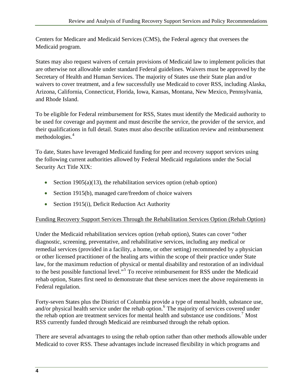Centers for Medicare and Medicaid Services (CMS), the Federal agency that oversees the Medicaid program.

States may also request waivers of certain provisions of Medicaid law to implement policies that are otherwise not allowable under standard Federal guidelines. Waivers must be approved by the Secretary of Health and Human Services. The majority of States use their State plan and/or waivers to cover treatment, and a few successfully use Medicaid to cover RSS, including Alaska, Arizona, California, Connecticut, Florida, Iowa, Kansas, Montana, New Mexico, Pennsylvania, and Rhode Island.

To be eligible for Federal reimbursement for RSS, States must identify the Medicaid authority to be used for coverage and payment and must describe the service, the provider of the service, and their qualifications in full detail. States must also describe utilization review and reimbursement methodologies.<sup>[4](#page-46-2)</sup>

To date, States have leveraged Medicaid funding for peer and recovery support services using the following current authorities allowed by Federal Medicaid regulations under the Social Security Act Title XIX:

- Section 1905(a)(13), the rehabilitation services option (rehab option)
- Section 1915(b), managed care/freedom of choice waivers
- Section 1915(i), Deficit Reduction Act Authority

#### Funding Recovery Support Services Through the Rehabilitation Services Option (Rehab Option)

Under the Medicaid rehabilitation services option (rehab option), States can cover "other diagnostic, screening, preventative, and rehabilitative services, including any medical or remedial services (provided in a facility, a home, or other setting) recommended by a physician or other licensed practitioner of the healing arts within the scope of their practice under State law, for the maximum reduction of physical or mental disability and restoration of an individual to the best possible functional level."<sup>[5](#page-46-2)</sup> To receive reimbursement for RSS under the Medicaid rehab option, States first need to demonstrate that these services meet the above requirements in Federal regulation.

Forty-seven States plus the District of Columbia provide a type of mental health, substance use, and/or physical health service under the rehab option.<sup>[6](#page-46-2)</sup> The majority of services covered under the rehab option are treatment services for mental health and substance use conditions.<sup>[7](#page-46-2)</sup> Most RSS currently funded through Medicaid are reimbursed through the rehab option.

There are several advantages to using the rehab option rather than other methods allowable under Medicaid to cover RSS. These advantages include increased flexibility in which programs and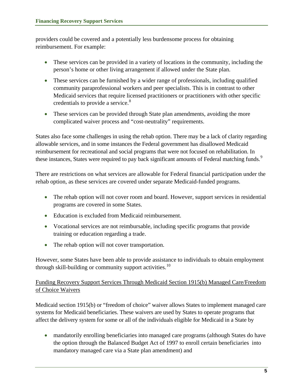providers could be covered and a potentially less burdensome process for obtaining reimbursement. For example:

- These services can be provided in a variety of locations in the community, including the person's home or other living arrangement if allowed under the State plan.
- These services can be furnished by a wider range of professionals, including qualified community paraprofessional workers and peer specialists. This is in contrast to other Medicaid services that require licensed practitioners or practitioners with other specific credentials to provide a service.<sup>[8](#page-46-2)</sup>
- These services can be provided through State plan amendments, avoiding the more complicated waiver process and "cost-neutrality" requirements.

States also face some challenges in using the rehab option. There may be a lack of clarity regarding allowable services, and in some instances the Federal government has disallowed Medicaid reimbursement for recreational and social programs that were not focused on rehabilitation. In these instances, States were required to pay back significant amounts of Federal matching funds.<sup>[9](#page-46-2)</sup>

There are restrictions on what services are allowable for Federal financial participation under the rehab option, as these services are covered under separate Medicaid-funded programs.

- The rehab option will not cover room and board. However, support services in residential programs are covered in some States.
- Education is excluded from Medicaid reimbursement.
- Vocational services are not reimbursable, including specific programs that provide training or education regarding a trade.
- The rehab option will not cover transportation.

However, some States have been able to provide assistance to individuals to obtain employment through skill-building or community support activities. $10$ 

#### Funding Recovery Support Services Through Medicaid Section 1915(b) Managed Care/Freedom of Choice Waivers

Medicaid section 1915(b) or "freedom of choice" waiver allows States to implement managed care systems for Medicaid beneficiaries. These waivers are used by States to operate programs that affect the delivery system for some or all of the individuals eligible for Medicaid in a State by

• mandatorily enrolling beneficiaries into managed care programs (although States do have the option through the Balanced Budget Act of 1997 to enroll certain beneficiaries into mandatory managed care via a State plan amendment) and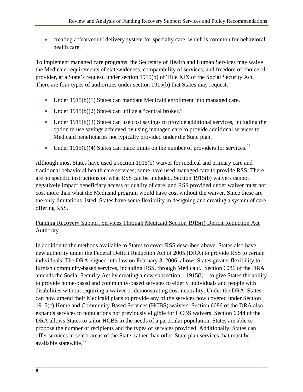• creating a "carveout" delivery system for specialty care, which is common for behavioral health care.

To implement managed care programs, the Secretary of Health and Human Services may waive the Medicaid requirements of statewideness, comparability of services, and freedom of choice of provider, at a State's request, under section 1915(b) of Title XIX of the Social Security Act. There are four types of authorities under section 1915(b) that States may request:

- Under 1915(b)(1) States can mandate Medicaid enrollment into managed care.
- Under 1915(b)(2) States can utilize a "central broker."
- Under 1915(b)(3) States can use cost savings to provide additional services, including the option to use savings achieved by using managed care to provide additional services to Medicaid beneficiaries not typically provided under the State plan.
- Under 1915(b)(4) States can place limits on the number of providers for services.<sup>[11](#page-46-2)</sup>

Although most States have used a section 1915(b) waiver for medical and primary care and traditional behavioral health care services, some have used managed care to provide RSS*.* There are no specific instructions on what RSS can be included. Section 1915(b) waivers cannot negatively impact beneficiary access or quality of care, and RSS provided under waiver must not cost more than what the Medicaid program would have cost without the waiver. Since these are the only limitations listed, States have some flexibility in designing and creating a system of care offering RSS.

#### Funding Recovery Support Services Through Medicaid Section 1915(i) Deficit Reduction Act Authority

In addition to the methods available to States to cover RSS described above, States also have new authority under the Federal Deficit Reduction Act of 2005 (DRA) to provide RSS to certain individuals. The DRA, signed into law on February 8, 2006, allows States greater flexibility to furnish community-based services, including RSS, through Medicaid. Section 6086 of the DRA amends the Social Security Act by creating a new subsection—1915(i)—to give States the ability to provide home-based and community-based services to elderly individuals and people with disabilities without requiring a waiver or demonstrating cost-neutrality. Under the DRA, States can now amend their Medicaid plans to provide any of the services now covered under Section 1915(c) Home and Community Based Services (HCBS) waivers. Section 6086 of the DRA also expands services to populations not previously eligible for HCBS waivers. Section 6044 of the DRA allows States to tailor HCBS to the needs of a particular population. States are able to propose the number of recipients and the types of services provided. Additionally, States can offer services in select areas of the State, rather than other State plan services that must be available statewide.<sup>[12](#page-46-2)</sup>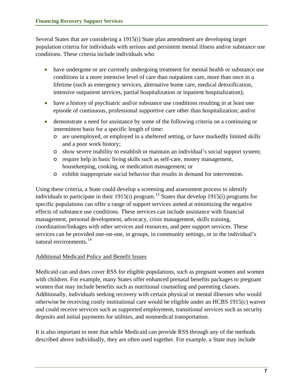Several States that are considering a 1915(i) State plan amendment are developing target population criteria for individuals with serious and persistent mental illness and/or substance use conditions. These criteria include individuals who

- have undergone or are currently undergoing treatment for mental health or substance use conditions in a more intensive level of care than outpatient care, more than once in a lifetime (such as emergency services, alternative home care, medical detoxification, intensive outpatient services, partial hospitalization or inpatient hospitalization);
- have a history of psychiatric and/or substance use conditions resulting in at least one episode of continuous, professional supportive care other than hospitalization; and/or
- demonstrate a need for assistance by some of the following criteria on a continuing or intermittent basis for a specific length of time:
	- o are unemployed, or employed in a sheltered setting, or have markedly limited skills and a poor work history;
	- o show severe inability to establish or maintain an individual's social support system;
	- o require help in basic living skills such as self-care, money management, housekeeping, cooking, or medication management; or
	- o exhibit inappropriate social behavior that results in demand for intervention.

Using these criteria, a State could develop a screening and assessment process to identify individuals to participate in their 1915(i) program.<sup>[13](#page-46-2)</sup> States that develop 1915(i) programs for specific populations can offer a range of support services aimed at minimizing the negative effects of substance use conditions. These services can include assistance with financial management, personal development, advocacy, crisis management, skills training, coordination/linkages with other services and resources, and peer support services. These services can be provided one-on-one, in groups, in community settings, or in the individual's natural environments.<sup>[14](#page-46-2)</sup>

#### Additional Medicaid Policy and Benefit Issues

Medicaid can and does cover RSS for eligible populations, such as pregnant women and women with children. For example, many States offer enhanced prenatal benefits packages to pregnant women that may include benefits such as nutritional counseling and parenting classes. Additionally, individuals seeking recovery with certain physical or mental illnesses who would otherwise be receiving costly institutional care would be eligible under an HCBS 1915(c) waiver and could receive services such as supported employment, transitional services such as security deposits and initial payments for utilities, and nonmedical transportation.

It is also important to note that while Medicaid can provide RSS through any of the methods described above individually, they are often used together. For example, a State may include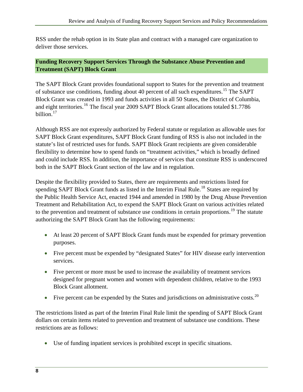<span id="page-15-0"></span>RSS under the rehab option in its State plan and contract with a managed care organization to deliver those services.

#### **Funding Recovery Support Services Through the Substance Abuse Prevention and Treatment (SAPT) Block Grant**

The SAPT Block Grant provides foundational support to States for the prevention and treatment of substance use conditions, funding about 40 percent of all such expenditures.<sup>[15](#page-46-2)</sup> The SAPT Block Grant was created in 1993 and funds activities in all 50 States, the District of Columbia, and eight territories.<sup>[16](#page-46-2)</sup> The fiscal year 2009 SAPT Block Grant allocations totaled \$1.7786 billion.<sup>[17](#page-47-0)</sup>

Although RSS are not expressly authorized by Federal statute or regulation as allowable uses for SAPT Block Grant expenditures, SAPT Block Grant funding of RSS is also not included in the statute's list of restricted uses for funds. SAPT Block Grant recipients are given considerable flexibility to determine how to spend funds on "treatment activities," which is broadly defined and could include RSS. In addition, the importance of services that constitute RSS is underscored both in the SAPT Block Grant section of the law and in regulation.

Despite the flexibility provided to States, there are requirements and restrictions listed for spending SAPT Block Grant funds as listed in the Interim Final Rule.<sup>[18](#page-47-0)</sup> States are required by the Public Health Service Act, enacted 1944 and amended in 1980 by the Drug Abuse Preventi on Treatment and Rehabilitation Act, to expend the SAPT Block Grant on various activities related to the prevention and treatment of substance use conditions in certain proportions.<sup>[19](#page-47-0)</sup> The statute authorizing the SAPT Block Grant has the following requirements:

- At least 20 percent of SAPT Block Grant funds must be expended for primary prevention purposes.
- Five percent must be expended by "designated States" for HIV disease early intervention services.
- Five percent or more must be used to increase the availability of treatment services designed for pregnant women and women with dependent children, relative to the 1993 Block Grant allotment.
- Five percent can be expended by the States and jurisdictions on administrative costs.<sup>[20](#page-47-0)</sup>

The restrictions listed as part of the Interim Final Rule limit the spending of SAPT Block Grant dollars on certain items related to prevention and treatment of substance use conditions. These restrictions are as follows:

• Use of funding inpatient services is prohibited except in specific situations.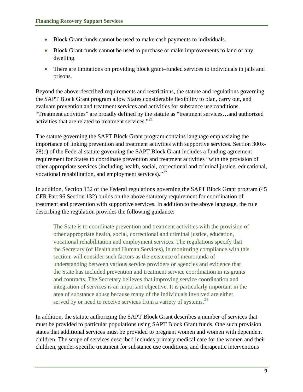- Block Grant funds cannot be used to make cash payments to individuals.
- Block Grant funds cannot be used to purchase or make improvements to land or any dwelling.
- There are limitations on providing block grant–funded services to individuals in jails and prisons.

Beyond the above-described requirements and restrictions, the statute and regulations governing the SAPT Block Grant program allow States considerable flexibility to plan, carry out, and evaluate prevention and treatment services and activities for substance use conditions. "Treatment activities" are broadly defined by the statute as "treatment services…and authorized activities that are related to treatment services. $^{21}$  $^{21}$  $^{21}$ 

The statute governing the SAPT Block Grant program contains language emphasizing the importance of linking prevention and treatment activities with supportive services. Section 300x-28(c) of the Federal statute governing the SAPT Block Grant includes a funding agreement requirement for States to coordinate prevention and treatment activities "with the provision of other appropriate services (including health, social, correctional and criminal justice, educational, vocational rehabilitation, and employment services)."<sup>[22](#page-47-0)</sup>

In addition, Section 132 of the Federal regulations governing the SAPT Block Grant program (45 CFR Part 96 Section 132) builds on the above statutory requirement for coordination of treatment and prevention with supportive services. In addition to the above language, the rule describing the regulation provides the following guidance:

The State is to coordinate prevention and treatment activities with the provision of other appropriate health, social, correctional and criminal justice, education, vocational rehabilitation and employment services. The regulations specify that the Secretary (of Health and Human Services), in monitoring compliance with this section, will consider such factors as the existence of memoranda of understanding between various service providers or agencies and evidence that the State has included prevention and treatment service coordination in its grants and contracts. The Secretary believes that improving service coordination and integration of services is an important objective. It is particularly important in the area of substance abuse because many of the individuals involved are either served by or need to receive services from a variety of systems.<sup>[23](#page-47-0)</sup>

In addition, the statute authorizing the SAPT Block Grant describes a number of services that must be provided to particular populations using SAPT Block Grant funds. One such provision states that additional services must be provided to pregnant women and women with dependent children. The scope of services described includes primary medical care for the women and their children, gender-specific treatment for substance use conditions, and therapeutic interventions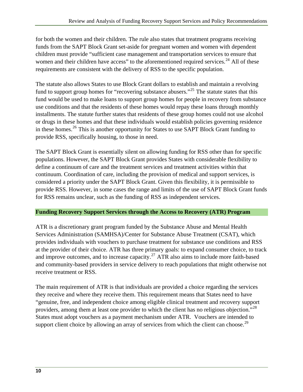<span id="page-17-0"></span>for both the women and their children. The rule also states that treatment programs receiving funds from the SAPT Block Grant set-aside for pregnant women and women with dependent children must provide "sufficient case management and transportation services to ensure that women and their children have access" to the aforementioned required services. $^{24}$  $^{24}$  $^{24}$  All of these requirements are consistent with the delivery of RSS to the specific population.

The statute also allows States to use Block Grant dollars to establish and maintain a revolving fund to support group homes for "recovering substance abusers."<sup>[25](#page-47-0)</sup> The statute states that this fund would be used to make loans to support group homes for people in recovery from substance use conditions and that the residents of these homes would repay these loans through monthly installments. The statute further states that residents of these group homes could not use alcohol or drugs in these homes and that these individuals would establish policies governing residence in these homes.<sup>[26](#page-47-0)</sup> This is another opportunity for States to use SAPT Block Grant funding to provide RSS, specifically housing, to those in need.

The SAPT Block Grant is essentially silent on allowing funding for RSS other than for specific populations. However, the SAPT Block Grant provides States with considerable flexibility to define a continuum of care and the treatment services and treatment activities within that continuum. Coordination of care, including the provision of medical and support services, is considered a priority under the SAPT Block Grant. Given this flexibility, it is permissible to provide RSS. However, in some cases the range and limits of the use of SAPT Block Grant funds for RSS remains unclear, such as the funding of RSS as independent services.

#### **Funding Recovery Support Services through the Access to Recovery (ATR) Program**

ATR is a discretionary grant program funded by the Substance Abuse and Mental Health Services Administration (SAMHSA)/Center for Substance Abuse Treatment (CSAT), which provides individuals with vouchers to purchase treatment for substance use conditions and RSS at the provider of their choice. ATR has three primary goals: to expand consumer choice, to track and improve outcomes, and to increase capacity.<sup>[27](#page-47-0)</sup> ATR also aims to include more faith-based and community-based providers in service delivery to reach populations that might otherwise not receive treatment or RSS.

The main requirement of ATR is that individuals are provided a choice regarding the services they receive and where they receive them. This requirement means that States need to have "genuine, free, and independent choice among eligible clinical treatment and recovery support providers, among them at least one provider to which the client has no religious objection."<sup>[28](#page-47-0)</sup> States must adopt vouchers as a payment mechanism under ATR. Vouchers are intended to support client choice by allowing an array of services from which the client can choose.<sup>[29](#page-47-0)</sup>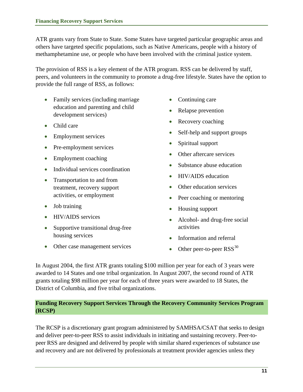<span id="page-18-0"></span>ATR grants vary from State to State. Some States have targeted particular geographic areas and others have targeted specific populations, such as Native Americans, people with a history of methamphetamine use, or people who have been involved with the criminal justice system.

The provision of RSS is a key element of the ATR program. RSS can be delivered by staff, peers, and volunteers in the community to promote a drug-free lifestyle. States have the option to provide the full range of RSS, as follows:

- Family services (including marriage education and parenting and child development services)
- Child care
- Employment services
- Pre-employment services
- Employment coaching
- Individual services coordination
- Transportation to and from treatment, recovery support activities, or employment
- Job training
- HIV/AIDS services
- Supportive transitional drug-free housing services
- Other case management services
- Continuing care
- Relapse prevention
- Recovery coaching
- Self-help and support groups
- Spiritual support
- Other aftercare services
- Substance abuse education
- HIV/AIDS education
- Other education services
- Peer coaching or mentoring
- Housing support
- Alcohol- and drug-free social activities
- Information and referral
- Other peer-to-peer  $RSS^{30}$  $RSS^{30}$  $RSS^{30}$

In August 2004, the first ATR grants totaling \$100 million per year for each of 3 years were awarded to 14 States and one tribal organization. In August 2007, the second round of ATR grants totaling \$98 million per year for each of three years were awarded to 18 States, the District of Columbia, and five tribal organizations.

#### **Funding Recovery Support Services Through the Recovery Community Services Program (RCSP)**

The RCSP is a discretionary grant program administered by SAMHSA/CSAT that seeks to design and deliver peer-to-peer RSS to assist individuals in initiating and sustaining recovery. Peer-topeer RSS are designed and delivered by people with similar shared experiences of substance use and recovery and are not delivered by professionals at treatment provider agencies unless they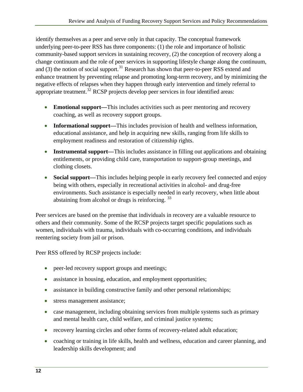identify themselves as a peer and serve only in that capacity. The conceptual framework underlying peer-to-peer RSS has three components: (1) the role and importance of holistic community-based support services in sustaining recovery, (2) the conception of recovery along a change continuum and the role of peer services in supporting lifestyle change along the continuum, and (3) the notion of social support.<sup>[31](#page-47-2)</sup> Research has shown that peer-to-peer RSS extend and enhance treatment by preventing relapse and promoting long-term recovery, and by minimizing the negative effects of relapses when they happen through early intervention and timely referral to appropriate treatment.<sup>[32](#page-47-2)</sup> RCSP projects develop peer services in four identified areas:

- **Emotional support—**This includes activities such as peer mentoring and recovery coaching, as well as recovery support groups.
- **Informational support—**This includes provision of health and wellness information, educational assistance, and help in acquiring new skills, ranging from life skills to employment readiness and restoration of citizenship rights.
- **Instrumental support—**This includes assistance in filling out applications and obtaining entitlements, or providing child care, transportation to support-group meetings, and clothing closets.
- **Social support**—This includes helping people in early recovery feel connected and enjoy being with others, especially in recreational activities in alcohol- and drug-free environments. Such assistance is especially needed in early recovery, when little about abstaining from alcohol or drugs is reinforcing.  $33$

Peer services are based on the premise that individuals in recovery are a valuable resource to others and their community. Some of the RCSP projects target specific populations such as women, individuals with trauma, individuals with co-occurring conditions, and individuals reentering society from jail or prison.

Peer RSS offered by RCSP projects include:

- peer-led recovery support groups and meetings;
- assistance in housing, education, and employment opportunities;
- assistance in building constructive family and other personal relationships;
- stress management assistance;
- case management, including obtaining services from multiple systems such as primary and mental health care, child welfare, and criminal justice systems;
- recovery learning circles and other forms of recovery-related adult education;
- coaching or training in life skills, health and wellness, education and career planning, and leadership skills development; and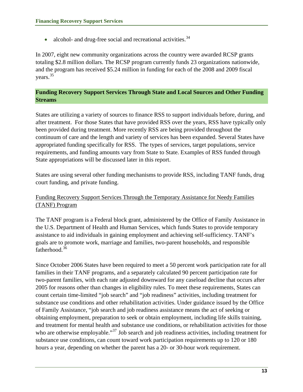<span id="page-20-0"></span>• alcohol- and drug-free social and recreational activities.  $34$ 

In 2007, eight new community organizations across the country were awarded RCSP grants totaling \$2.8 million dollars. The RCSP program currently funds 23 organizations nationwide, and the program has received \$5.24 million in funding for each of the 2008 and 2009 fiscal years.[35](#page-47-2)

#### **Funding Recovery Support Services Through State and Local Sources and Other Funding Streams**

States are utilizing a variety of sources to finance RSS to support individuals before, during, and after treatment. For those States that have provided RSS over the years, RSS have typically only been provided during treatment. More recently RSS are being provided throughout the continuum of care and the length and variety of services has been expanded. Several States have appropriated funding specifically for RSS. The types of services, target populations, service requirements, and funding amounts vary from State to State. Examples of RSS funded through State appropriations will be discussed later in this report.

States are using several other funding mechanisms to provide RSS, including TANF funds, drug court funding, and private funding.

#### Funding Recovery Support Services Through the Temporary Assistance for Needy Families (TANF) Program

The TANF program is a Federal block grant, administered by the Office of Family Assistance in the U.S. Department of Health and Human Services, which funds States to provide temporary assistance to aid individuals in gaining employment and achieving self-sufficiency. TANF's goals are to promote work, marriage and families, two-parent households, and responsible fatherhood.<sup>[36](#page-47-2)</sup>

Since October 2006 States have been required to meet a 50 percent work participation rate for all families in their TANF programs, and a separately calculated 90 percent participation rate for two-parent families, with each rate adjusted downward for any caseload decline that occurs after 2005 for reasons other than changes in eligibility rules. To meet these requirements, States can count certain time-limited "job search" and "job readiness" activities, including treatment for substance use conditions and other rehabilitation activities. Under guidance issued by the Office of Family Assistance, "job search and job readiness assistance means the act of seeking or obtaining employment, preparation to seek or obtain employment, including life skills training, and treatment for mental health and substance use conditions, or rehabilitation activities for those who are otherwise employable."<sup>[37](#page-47-2)</sup> Job search and job readiness activities, including treatment for substance use conditions, can count toward work participation requirements up to 120 or 180 hours a year, depending on whether the parent has a 20- or 30-hour work requirement.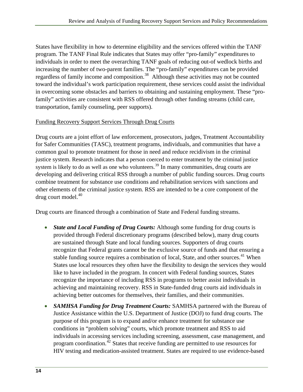States have flexibility in how to determine eligibility and the services offered within the TANF program. The TANF Final Rule indicates that States may offer "pro-family" expenditures to individuals in order to meet the overarching TANF goals of reducing out-of wedlock births and increasing the number of two-parent families. The "pro-family" expenditures can be provided regardless of family income and composition.<sup>[38](#page-47-2)</sup> Although these activities may not be counted toward the individual's work participation requirement, these services could assist the individual in overcoming some obstacles and barriers to obtaining and sustaining employment. These "profamily" activities are consistent with RSS offered through other funding streams (child care, transportation, family counseling, peer supports).

#### Funding Recovery Support Services Through Drug Courts

Drug courts are a joint effort of law enforcement, prosecutors, judges, Treatment Accountability for Safer Communities (TASC), treatment programs, individuals, and communities that have a common goal to promote treatment for those in need and reduce recidivism in the criminal justice system. Research indicates that a person coerced to enter treatment by the criminal justice system is likely to do as well as one who volunteers.<sup>[39](#page-47-2)</sup> In many communities, drug courts are developing and delivering critical RSS through a number of public funding sources. Drug courts combine treatment for substance use conditions and rehabilitation services with sanctions and other elements of the criminal justice system. RSS are intended to be a core component of the drug court model.<sup>[40](#page-47-2)</sup>

Drug courts are financed through a combination of State and Federal funding streams.

- *State and Local Funding of Drug Courts:* Although some funding for drug courts is provided through Federal discretionary programs (described below), many drug courts are sustained through State and local funding sources. Supporters of drug courts recognize that Federal grants cannot be the exclusive source of funds and that ensuring a stable funding source requires a combination of local, State, and other sources.<sup>[41](#page-47-2)</sup> When States use local resources they often have the flexibility to design the services they would like to have included in the program. In concert with Federal funding sources, States recognize the importance of including RSS in programs to better assist individuals in achieving and maintaining recovery. RSS in State-funded drug courts aid individuals in achieving better outcomes for themselves, their families, and their communities.
- *SAMHSA Funding for Drug Treatment Courts:* SAMHSA partnered with the Bureau of Justice Assistance within the U.S. Department of Justice (DOJ) to fund drug courts. The purpose of this program is to expand and/or enhance treatment for substance use conditions in "problem solving" courts, which promote treatment and RSS to aid individuals in accessing services including screening, assessment, case management, and program coordination.<sup>[42](#page-47-2)</sup> States that receive funding are permitted to use resources for HIV testing and medication-assisted treatment. States are required to use evidence-based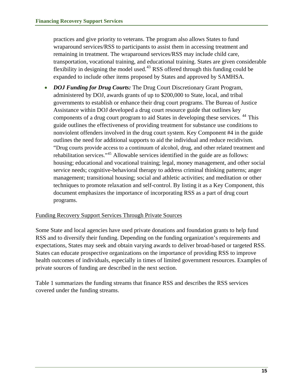practices and give priority to veterans. The program also allows States to fund wraparound services/RSS to participants to assist them in accessing treatment and remaining in treatment. The wraparound services/RSS may include child care, transportation, vocational training, and educational training. States are given considerable flexibility in designing the model used.43 RSS offered through this funding could be expanded to include other items proposed by States and approved by SAMHSA.

• *DOJ Funding for Drug Courts:* The Drug Court Discretionary Grant Program, administered by DOJ, awards grants of up to \$200,000 to State, local, and tribal governments to establish or enhance their drug court programs. The Bureau of Justice Assistance within DOJ developed a drug court resource guide that outlines key components of a drug court program to aid States in developing these services. <sup>[44](#page-48-0)</sup> This guide outlines the effectiveness of providing treatment for substance use conditions to nonviolent offenders involved in the drug court system. Key Component #4 in the guide outlines the need for additional supports to aid the individual and reduce recidivism. "Drug courts provide access to a continuum of alcohol, drug, and other related treatment and rehabilitation services."[45](#page-48-0) Allowable services identified in the guide are as follows: housing; educational and vocational training; legal, money management, and other social service needs; cognitive-behavioral therapy to address criminal thinking patterns; anger management; transitional housing; social and athletic activities; and meditation or other techniques to promote relaxation and self-control. By listing it as a Key Component, this document emphasizes the importance of incorporating RSS as a part of drug court programs.

#### Funding Recovery Support Services Through Private Sources

Some State and local agencies have used private donations and foundation grants to help fund RSS and to diversify their funding. Depending on the funding organization's requirements and expectations, States may seek and obtain varying awards to deliver broad-based or targeted RSS. States can educate prospective organizations on the importance of providing RSS to improve health outcomes of individuals, especially in times of limited government resources. Examples of private sources of funding are described in the next section.

Table 1 summarizes the funding streams that finance RSS and describes the RSS services covered under the funding streams.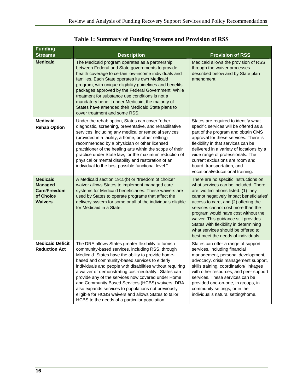<span id="page-23-0"></span>

| <b>Funding</b>                                                                   |                                                                                                                                                                                                                                                                                                                                                                                                                                                                                                                                                                                                                   | <b>Provision of RSS</b>                                                                                                                                                                                                                                                                                                                                                                                                                              |  |
|----------------------------------------------------------------------------------|-------------------------------------------------------------------------------------------------------------------------------------------------------------------------------------------------------------------------------------------------------------------------------------------------------------------------------------------------------------------------------------------------------------------------------------------------------------------------------------------------------------------------------------------------------------------------------------------------------------------|------------------------------------------------------------------------------------------------------------------------------------------------------------------------------------------------------------------------------------------------------------------------------------------------------------------------------------------------------------------------------------------------------------------------------------------------------|--|
| <b>Streams</b><br><b>Medicaid</b>                                                | <b>Description</b><br>The Medicaid program operates as a partnership<br>between Federal and State governments to provide<br>health coverage to certain low-income individuals and<br>families. Each State operates its own Medicaid<br>program, with unique eligibility guidelines and benefits<br>packages approved by the Federal Government. While<br>treatment for substance use conditions is not a<br>mandatory benefit under Medicaid, the majority of<br>States have amended their Medicaid State plans to<br>cover treatment and some RSS.                                                               | Medicaid allows the provision of RSS<br>through the waiver processes<br>described below and by State plan<br>amendment.                                                                                                                                                                                                                                                                                                                              |  |
| <b>Medicaid</b><br><b>Rehab Option</b>                                           | Under the rehab option, States can cover "other<br>diagnostic, screening, preventative, and rehabilitative<br>services, including any medical or remedial services<br>(provided in a facility, a home, or other setting)<br>recommended by a physician or other licensed<br>practitioner of the healing arts within the scope of their<br>practice under State law, for the maximum reduction of<br>physical or mental disability and restoration of an<br>individual to the best possible functional level."                                                                                                     | States are required to identify what<br>specific services will be offered as a<br>part of the program and obtain CMS<br>approval for these services. There is<br>flexibility in that services can be<br>delivered in a variety of locations by a<br>wide range of professionals. The<br>current exclusions are room and<br>board, transportation, and<br>vocational/educational training.                                                            |  |
| <b>Medicaid</b><br><b>Managed</b><br>Care/Freedom<br>of Choice<br><b>Waivers</b> | A Medicaid section 1915(b) or "freedom of choice"<br>waiver allows States to implement managed care<br>systems for Medicaid beneficiaries. These waivers are<br>used by States to operate programs that affect the<br>delivery system for some or all of the individuals eligible<br>for Medicaid in a State.                                                                                                                                                                                                                                                                                                     | There are no specific instructions on<br>what services can be included. There<br>are two limitations listed: (1) they<br>cannot negatively impact beneficiaries'<br>access to care, and (2) offering the<br>services cannot cost more than the<br>program would have cost without the<br>waiver. This guidance still provides<br>States with flexibility in determining<br>what services should be offered to<br>best meet the needs of individuals. |  |
| <b>Medicaid Deficit</b><br><b>Reduction Act</b>                                  | The DRA allows States greater flexibility to furnish<br>community-based services, including RSS, through<br>Medicaid. States have the ability to provide home-<br>based and community-based services to elderly<br>individuals and people with disabilities without requiring<br>a waiver or demonstrating cost-neutrality. States can<br>provide any of the services now covered under Home<br>and Community Based Services (HCBS) waivers. DRA<br>also expands services to populations not previously<br>eligible for HCBS waivers and allows States to tailor<br>HCBS to the needs of a particular population. | States can offer a range of support<br>services, including financial<br>management, personal development,<br>advocacy, crisis management support,<br>skills training, coordination/ linkages<br>with other resources, and peer support<br>services. These services can be<br>provided one-on-one, in groups, in<br>community settings, or in the<br>individual's natural setting/home.                                                               |  |

**Table 1: Summary of Funding Streams and Provision of RSS**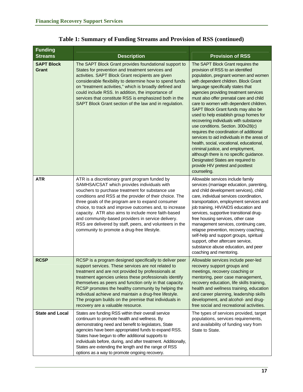| <b>Funding</b>             |                                                                                                                                                                                                                                                                                                                                                                                                                                                                                                                                                     |                                                                                                                                                                                                                                                                                                                                                                                                                                                                                                                                                                                                                                                                                                                                                                                                        |  |
|----------------------------|-----------------------------------------------------------------------------------------------------------------------------------------------------------------------------------------------------------------------------------------------------------------------------------------------------------------------------------------------------------------------------------------------------------------------------------------------------------------------------------------------------------------------------------------------------|--------------------------------------------------------------------------------------------------------------------------------------------------------------------------------------------------------------------------------------------------------------------------------------------------------------------------------------------------------------------------------------------------------------------------------------------------------------------------------------------------------------------------------------------------------------------------------------------------------------------------------------------------------------------------------------------------------------------------------------------------------------------------------------------------------|--|
| <b>Streams</b>             | <b>Description</b>                                                                                                                                                                                                                                                                                                                                                                                                                                                                                                                                  | <b>Provision of RSS</b>                                                                                                                                                                                                                                                                                                                                                                                                                                                                                                                                                                                                                                                                                                                                                                                |  |
| <b>SAPT Block</b><br>Grant | The SAPT Block Grant provides foundational support to<br>States for prevention and treatment services and<br>activities. SAPT Block Grant recipients are given<br>considerable flexibility to determine how to spend funds<br>on "treatment activities," which is broadly defined and<br>could include RSS. In addition, the importance of<br>services that constitute RSS is emphasized both in the<br>SAPT Block Grant section of the law and in regulation.                                                                                      | The SAPT Block Grant requires the<br>provision of RSS to an identified<br>population, pregnant women and women<br>with dependent children. Block Grant<br>language specifically states that<br>agencies providing treatment services<br>must also offer prenatal care and child<br>care to women with dependent children.<br>SAPT Block Grant funds may also be<br>used to help establish group homes for<br>recovering individuals with substance<br>use conditions. Section. 300x28(c)<br>requires the coordination of additional<br>services to aid individuals in the areas of<br>health, social, vocational, educational,<br>criminal justice, and employment,<br>although there is no specific guidance.<br>Designated States are required to<br>provide HIV pretest and posttest<br>counseling. |  |
| <b>ATR</b>                 | ATR is a discretionary grant program funded by<br>SAMHSA/CSAT which provides individuals with<br>vouchers to purchase treatment for substance use<br>conditions and RSS at the provider of their choice. The<br>three goals of the program are to expand consumer<br>choice, to track and improve outcomes and, to increase<br>capacity. ATR also aims to include more faith-based<br>and community-based providers in service delivery.<br>RSS are delivered by staff, peers, and volunteers in the<br>community to promote a drug-free lifestyle. | Allowable services include family<br>services (marriage education, parenting,<br>and child development services), child<br>care, individual services coordination,<br>transportation, employment services and<br>job training, HIV/AIDS education and<br>services, supportive transitional drug-<br>free housing services, other case<br>management services, continuing care,<br>relapse prevention, recovery coaching,<br>self-help and support groups, spiritual<br>support, other aftercare service,<br>substance abuse education, and peer<br>coaching and mentoring.                                                                                                                                                                                                                             |  |
| <b>RCSP</b>                | RCSP is a program designed specifically to deliver peer<br>support services. These services are not related to<br>treatment and are not provided by professionals at<br>treatment agencies unless these professionals identify<br>themselves as peers and function only in that capacity.<br>RCSP promotes the healthy community by helping the<br>individual achieve and maintain a drug-free lifestyle.<br>The program builds on the premise that individuals in<br>recovery are a valuable resource.                                             | Allowable services include peer-led<br>recovery support groups and<br>meetings, recovery coaching or<br>mentoring, peer case management,<br>recovery education, life skills training,<br>health and wellness training, education<br>and career planning, leadership skills<br>development, and alcohol- and drug-<br>free social and recreational activities.                                                                                                                                                                                                                                                                                                                                                                                                                                          |  |
| <b>State and Local</b>     | States are funding RSS within their overall service<br>continuum to promote health and wellness. By<br>demonstrating need and benefit to legislators, State<br>agencies have been appropriated funds to expand RSS.<br>States have begun to offer additional supports to<br>individuals before, during, and after treatment. Additionally,<br>States are extending the length and the range of RSS<br>options as a way to promote ongoing recovery.                                                                                                 | The types of services provided, target<br>populations, services requirements,<br>and availability of funding vary from<br>State to State.                                                                                                                                                                                                                                                                                                                                                                                                                                                                                                                                                                                                                                                              |  |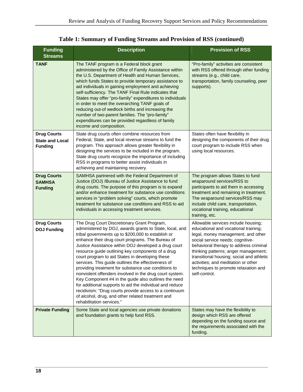| <b>Funding</b><br><b>Streams</b>                               | <b>Description</b>                                                                                                                                                                                                                                                                                                                                                                                                                                                                                                                                                                                                                                                                                                                                                                                                       | <b>Provision of RSS</b>                                                                                                                                                                                                                                                                                                                                                              |
|----------------------------------------------------------------|--------------------------------------------------------------------------------------------------------------------------------------------------------------------------------------------------------------------------------------------------------------------------------------------------------------------------------------------------------------------------------------------------------------------------------------------------------------------------------------------------------------------------------------------------------------------------------------------------------------------------------------------------------------------------------------------------------------------------------------------------------------------------------------------------------------------------|--------------------------------------------------------------------------------------------------------------------------------------------------------------------------------------------------------------------------------------------------------------------------------------------------------------------------------------------------------------------------------------|
| <b>TANF</b>                                                    | The TANF program is a Federal block grant<br>administered by the Office of Family Assistance within<br>the U.S. Department of Health and Human Services,<br>which funds States to provide temporary assistance to<br>aid individuals in gaining employment and achieving<br>self-sufficiency. The TANF Final Rule indicates that<br>States may offer "pro-family" expenditures to individuals<br>in order to meet the overarching TANF goals of<br>reducing out-of wedlock births and increasing the<br>number of two-parent families. The "pro-family"<br>expenditures can be provided regardless of family<br>income and composition.                                                                                                                                                                                  | "Pro-family" activities are consistent<br>with RSS offered through other funding<br>streams (e.g., child care,<br>transportation, family counseling, peer<br>supports).                                                                                                                                                                                                              |
| <b>Drug Courts</b><br><b>State and Local</b><br><b>Funding</b> | State drug courts often combine resources from<br>Federal, State, and local revenue streams to fund the<br>program. This approach allows greater flexibility in<br>designing the services to be included in the program.<br>State drug courts recognize the importance of including<br>RSS in programs to better assist individuals in<br>achieving and maintaining recovery.                                                                                                                                                                                                                                                                                                                                                                                                                                            | States often have flexibility in<br>designing the components of their drug<br>court program to include RSS when<br>using local resources.                                                                                                                                                                                                                                            |
| <b>Drug Courts</b><br><b>SAMHSA</b><br><b>Funding</b>          | SAMHSA partnered with the Federal Department of<br>Justice (DOJ) /Bureau of Justice Assistance to fund<br>drug courts. The purpose of this program is to expand<br>and/or enhance treatment for substance use conditions<br>services in "problem solving" courts, which promote<br>treatment for substance use conditions and RSS to aid<br>individuals in accessing treatment services.                                                                                                                                                                                                                                                                                                                                                                                                                                 | The program allows States to fund<br>wraparound services/RSS to<br>participants to aid them in accessing<br>treatment and remaining in treatment.<br>The wraparound services/RSS may<br>include child care, transportation,<br>vocational training, educational<br>training, etc.                                                                                                    |
| <b>Drug Courts</b><br><b>DOJ Funding</b>                       | The Drug Court Discretionary Grant Program,<br>administered by DOJ, awards grants to State, local, and<br>tribal governments up to \$200,000 to establish or<br>enhance their drug court programs. The Bureau of<br>Justice Assistance within DOJ developed a drug court<br>resource guide outlining key components of a drug<br>court program to aid States in developing these<br>services. This guide outlines the effectiveness of<br>providing treatment for substance use conditions to<br>nonviolent offenders involved in the drug court system.<br>Key Component #4 in the guide also outlines the need<br>for additional supports to aid the individual and reduce<br>recidivism: "Drug courts provide access to a continuum<br>of alcohol, drug, and other related treatment and<br>rehabilitation services." | Allowable services include housing;<br>educational and vocational training;<br>legal, money management, and other<br>social service needs; cognitive-<br>behavioral therapy to address criminal<br>thinking patterns; anger management;<br>transitional housing; social and athletic<br>activities; and meditation or other<br>techniques to promote relaxation and<br>self-control. |
| <b>Private Funding</b>                                         | Some State and local agencies use private donations<br>and foundation grants to help fund RSS.                                                                                                                                                                                                                                                                                                                                                                                                                                                                                                                                                                                                                                                                                                                           | States may have the flexibility to<br>design which RSS are offered<br>depending on the funding source and<br>the requirements associated with the<br>funding.                                                                                                                                                                                                                        |

**Table 1: Summary of Funding Streams and Provision of RSS (continued)**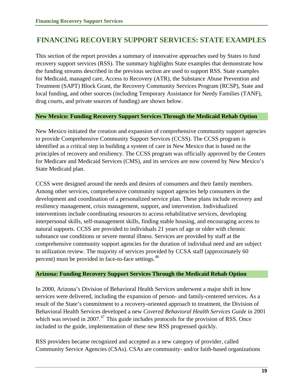## <span id="page-26-0"></span>**FINANCING RECOVERY SUPPORT SERVICES: STATE EXAMPLES**

This section of the report provides a summary of innovative approaches used by States to fund recovery support services (RSS). The summary highlights State examples that demonstrate how the funding streams described in the previous section are used to support RSS. State examples for Medicaid, managed care, Access to Recovery (ATR), the Substance Abuse Prevention and Treatment (SAPT) Block Grant, the Recovery Community Services Program (RCSP), State and local funding, and other sources (including Temporary Assistance for Needy Families (TANF), drug courts, and private sources of funding) are shown below.

#### **New Mexico: Funding Recovery Support Services Through the Medicaid Rehab Option**

New Mexico initiated the creation and expansion of comprehensive community support agencies to provide Comprehensive Community Support Services (CCSS). The CCSS program is identified as a critical step in building a system of care in New Mexico that is based on the principles of recovery and resiliency. The CCSS program was officially approved by the Centers for Medicare and Medicaid Services (CMS), and its services are now covered by New Mexico's State Medicaid plan.

CCSS were designed around the needs and desires of consumers and their family members. Among other services, comprehensive community support agencies help consumers in the development and coordination of a personalized service plan. These plans include recovery and resiliency management, crisis management, support, and intervention. Individualized interventions include coordinating resources to access rehabilitative services, developing interpersonal skills, self-management skills, finding stable housing, and encouraging access to natural supports. CCSS are provided to individuals 21 years of age or older with chronic substance use conditions or severe mental illness. Services are provided by staff at the comprehensive community support agencies for the duration of individual need and are subject to utilization review. The majority of services provided by CCSA staff (approximately 60 percent) must be provided in face-to-face settings.<sup>[46](#page-48-0)</sup>

#### **Arizona: Funding Recovery Support Services Through the Medicaid Rehab Option**

In 2000, Arizona's Division of Behavioral Health Services underwent a major shift in how services were delivered, including the expansion of person- and family-centered services. As a result of the State's commitment to a recovery-oriented approach to treatment, the Division of Behavioral Health Services developed a new *Covered Behavioral Health Services Guide* in 2001 which was revised in  $2007<sup>47</sup>$  $2007<sup>47</sup>$  $2007<sup>47</sup>$ . This guide includes protocols for the provision of RSS. Once included in the guide, implementation of these new RSS progressed quickly.

RSS providers became recognized and accepted as a new category of provider, called Community Service Agencies (CSAs). CSAs are community- and/or faith-based organizations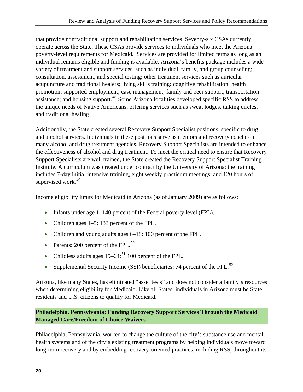<span id="page-27-0"></span>that provide nontraditional support and rehabilitation services. Seventy-six CSAs currently operate across the State. These CSAs provide services to individuals who meet the Arizona poverty-level requirements for Medicaid. Services are provided for limited terms as long as an individual remains eligible and funding is available. Arizona's benefits package includes a wide variety of treatment and support services, such as individual, family, and group counseling; consultation, assessment, and special testing; other treatment services such as auricular acupuncture and traditional healers; living skills training; cognitive rehabilitation; health promotion; supported employment; case management; family and peer support; transportation assistance; and housing support.<sup>[48](#page-48-0)</sup> Some Arizona localities developed specific RSS to address the unique needs of Native Americans, offering services such as sweat lodges, talking circles, and traditional healing.

Additionally, the State created several Recovery Support Specialist positions, specific to drug and alcohol services. Individuals in these positions serve as mentors and recovery coaches in many alcohol and drug treatment agencies. Recovery Support Specialists are intended to enhance the effectiveness of alcohol and drug treatment. To meet the critical need to ensure that Recovery Support Specialists are well trained, the State created the Recovery Support Specialist Training Institute. A curriculum was created under contract by the University of Arizona; the training includes 7-day initial intensive training, eight weekly practicum meetings, and 120 hours of supervised work.<sup>[49](#page-48-0)</sup>

Income eligibility limits for Medicaid in Arizona (as of January 2009) are as follows:

- Infants under age 1: 140 percent of the Federal poverty level (FPL).
- Children ages 1–5: 133 percent of the FPL.
- Children and young adults ages 6–18: 100 percent of the FPL.
- Parents: 200 percent of the FPL. $^{50}$  $^{50}$  $^{50}$
- Childless adults ages  $19-64$ :<sup>[51](#page-48-0)</sup> 100 percent of the FPL.
- Supplemental Security Income (SSI) beneficiaries: 74 percent of the FPL. $^{52}$  $^{52}$  $^{52}$

Arizona, like many States, has eliminated "asset tests" and does not consider a family's resources when determining eligibility for Medicaid. Like all States, individuals in Arizona must be State residents and U.S. citizens to qualify for Medicaid.

#### **Philadelphia, Pennsylvania: Funding Recovery Support Services Through the Medicaid Managed Care/Freedom of Choice Waivers**

Philadelphia, Pennsylvania, worked to change the culture of the city's substance use and mental health systems and of the city's existing treatment programs by helping individuals move toward long-term recovery and by embedding recovery-oriented practices, including RSS, throughout its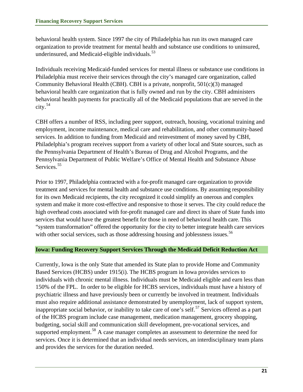<span id="page-28-0"></span>behavioral health system. Since 1997 the city of Philadelphia has run its own managed care organization to provide treatment for mental health and substance use conditions to uninsured, underinsured, and Medicaid-eligible individuals.<sup>[53](#page-48-0)</sup>

Individuals receiving Medicaid-funded services for mental illness or substance use conditions in Philadelphia must receive their services through the city's managed care organization, called Community Behavioral Health (CBH). CBH is a private, nonprofit, 501(c)(3) managed behavioral health care organization that is fully owned and run by the city. CBH administers behavioral health payments for practically all of the Medicaid populations that are served in the  $\text{city.}^{54}$  $\text{city.}^{54}$  $\text{city.}^{54}$ 

CBH offers a number of RSS, including peer support, outreach, housing, vocational training and employment, income maintenance, medical care and rehabilitation, and other community-based services. In addition to funding from Medicaid and reinvestment of money saved by CBH, Philadelphia's program receives support from a variety of other local and State sources, such as the Pennsylvania Department of Health's Bureau of Drug and Alcohol Programs, and the Pennsylvania Department of Public Welfare's Office of Mental Health and Substance Abuse Services.<sup>[55](#page-48-0)</sup>

Prior to 1997, Philadelphia contracted with a for-profit managed care organization to provide treatment and services for mental health and substance use conditions. By assuming responsibility for its own Medicaid recipients, the city recognized it could simplify an onerous and complex system and make it more cost-effective and responsive to those it serves. The city could reduce the high overhead costs associated with for-profit managed care and direct its share of State funds into services that would have the greatest benefit for those in need of behavioral health care. This "system transformation" offered the opportunity for the city to better integrate health care services with other social services, such as those addressing housing and joblessness issues.<sup>[56](#page-48-0)</sup>

#### **Iowa: Funding Recovery Support Services Through the Medicaid Deficit Reduction Act**

Currently, Iowa is the only State that amended its State plan to provide Home and Community Based Services (HCBS) under 1915(i). The HCBS program in Iowa provides services to individuals with chronic mental illness. Individuals must be Medicaid eligible and earn less than 150% of the FPL. In order to be eligible for HCBS services, individuals must have a history of psychiatric illness and have previously been or currently be involved in treatment. Individuals must also require additional assistance demonstrated by unemployment, lack of support system, inappropriate social behavior, or inability to take care of one's self.<sup>[57](#page-48-0)</sup> Services offered as a part of the HCBS program include case management, medication management, grocery shopping , budgeting, social skill and communication skill development, pre-vocational services, and supported employment.<sup>[58](#page-48-0)</sup> A case manager completes an assessment to determine the need for services. Once it is determined that an individual needs services, an interdisciplinary team plans and provides the services for the duration needed.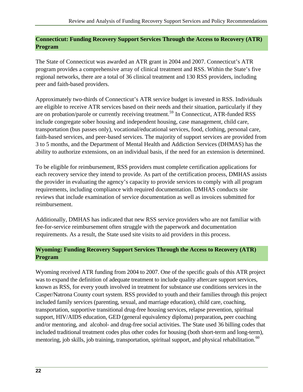#### <span id="page-29-0"></span>**Connecticut: Funding Recovery Support Services Through the Access to Recovery (ATR) Program**

The State of Connecticut was awarded an ATR grant in 2004 and 2007. Connecticut's ATR program provides a comprehensive array of clinical treatment and RSS. Within the State's five regional networks, there are a total of 36 clinical treatment and 130 RSS providers, including peer and faith-based providers.

Approximately two-thirds of Connecticut's ATR service budget is invested in RSS. Individuals are eligible to receive ATR services based on their needs and their situation, particularly if they are on probation/parole or currently receiving treatment.<sup>[59](#page-48-0)</sup> In Connecticut, ATR-funded RSS include congregate sober housing and independent housing, case management, child care, transportation (bus passes only), vocational/educational services, food, clothing, personal care, faith-based services, and peer-based services. The majority of support services are provided from 3 to 5 months, and the Department of Mental Health and Addiction Services (DHMAS) has the ability to authorize extensions, on an individual basis, if the need for an extension is determined.

To be eligible for reimbursement, RSS providers must complete certification applications for each recovery service they intend to provide. As part of the certification process, DMHAS assists the provider in evaluating the agency's capacity to provide services to comply with all program requirements, including compliance with required documentation. DMHAS conducts site reviews that include examination of service documentation as well as invoices submitted for reimbursement.

Additionally, DMHAS has indicated that new RSS service providers who are not familiar with fee-for-service reimbursement often struggle with the paperwork and documentation requirements. As a result, the State used site visits to aid providers in this process.

#### **Wyoming: Funding Recovery Support Services Through the Access to Recovery (ATR) Program**

Wyoming received ATR funding from 2004 to 2007. One of the specific goals of this ATR project was to expand the definition of adequate treatment to include quality aftercare support services, known as RSS, for every youth involved in treatment for substance use conditions services in the Casper/Natrona County court system. RSS provided to youth and their families through this project included family services (parenting, sexual, and marriage education), child care, coaching, transportation, supportive transitional drug-free housing services, relapse prevention, spiritual support, HIV/AIDS education, GED (general equivalency diploma) preparation**,** peer coaching and/or mentoring, and alcohol- and drug-free social activities. The State used 36 billing codes that included traditional treatment codes plus other codes for housing (both short-term and long-term), mentoring, job skills, job training, transportation, spiritual support, and physical rehabilitation.<sup>[60](#page-48-0)</sup>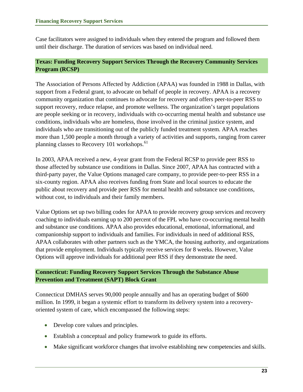<span id="page-30-0"></span>Case facilitators were assigned to individuals when they entered the program and followed them until their discharge. The duration of services was based on individual need.

#### **Texas: Funding Recovery Support Services Through the Recovery Community Services Program (RCSP)**

The Association of Persons Affected by Addiction (APAA) was founded in 1988 in Dallas, with support from a Federal grant, to advocate on behalf of people in recovery. APAA is a recovery community organization that continues to advocate for recovery and offers peer-to-peer RSS to support recovery, reduce relapse, and promote wellness. The organization's target populations are people seeking or in recovery, individuals with co-occurring mental health and substance use conditions, individuals who are homeless, those involved in the criminal justice system, and individuals who are transitioning out of the publicly funded treatment system. APAA reaches more than 1,500 people a month through a variety of activities and supports, ranging from career planning classes to Recovery 101 workshops.<sup>[61](#page-48-0)</sup>

In 2003, APAA received a new, 4-year grant from the Federal RCSP to provide peer RSS to those affected by substance use conditions in Dallas. Since 2007, APAA has contracted with a third-party payer, the Value Options managed care company, to provide peer-to-peer RSS in a six-county region. APAA also receives funding from State and local sources to educate the public about recovery and provide peer RSS for mental health and substance use conditions, without cost, to individuals and their family members.

Value Options set up two billing codes for APAA to provide recovery group services and recovery coaching to individuals earning up to 200 percent of the FPL who have co-occurring mental health and substance use conditions. APAA also provides educational, emotional, informational, and companionship support to individuals and families. For individuals in need of additional RSS, APAA collaborates with other partners such as the YMCA, the housing authority, and organizations that provide employment. Individuals typically receive services for 8 weeks. However, Value Options will approve individuals for additional peer RSS if they demonstrate the need.

#### **Connecticut: Funding Recovery Support Services Through the Substance Abuse Prevention and Treatment (SAPT) Block Grant**

Connecticut DMHAS serves 90,000 people annually and has an operating budget of \$600 million. In 1999, it began a systemic effort to transform its delivery system into a recoveryoriented system of care, which encompassed the following steps:

- Develop core values and principles.
- Establish a conceptual and policy framework to guide its efforts.
- Make significant workforce changes that involve establishing new competencies and skills.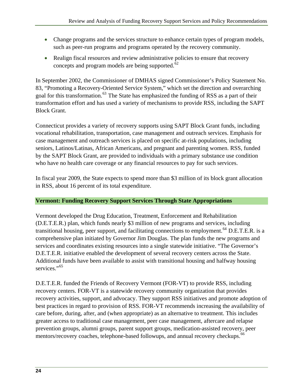- <span id="page-31-0"></span>• Change programs and the services structure to enhance certain types of program models, such as peer-run programs and programs operated by the recovery community.
- Realign fiscal resources and review administrative policies to ensure that recovery concepts and program models are being supported. $62$

In September 2002, the Commissioner of DMHAS signed Commissioner's Policy Statement No. 83, "Promoting a Recovery-Oriented Service System," which set the direction and overarching goal for this transformation.<sup>[63](#page-49-0)</sup> The State has emphasized the funding of RSS as a part of their transformation effort and has used a variety of mechanisms to provide RSS, including the SAPT Block Grant.

Connecticut provides a variety of recovery supports using SAPT Block Grant funds, including vocational rehabilitation, transportation, case management and outreach services. Emphasis for case management and outreach services is placed on specific at-risk populations, including seniors, Latinos/Latinas, African Americans, and pregnant and parenting women. RSS, funded by the SAPT Block Grant, are provided to individuals with a primary substance use condition who have no health care coverage or any financial resources to pay for such services.

In fiscal year 2009, the State expects to spend more than \$3 million of its block grant allocation in RSS, about 16 percent of its total expenditure.

#### **Vermont: Funding Recovery Support Services Through State Appropriations**

Vermont developed the Drug Education, Treatment, Enforcement and Rehabilitation (D.E.T.E.R.) plan, which funds nearly \$3 million of new programs and services, including transitional housing, peer support, and facilitating connections to employment.<sup>[64](#page-49-0)</sup> D.E.T.E.R. is a comprehensive plan initiated by Governor Jim Douglas. The plan funds the new programs and services and coordinates existing resources into a single statewide initiative. "The Governor's D.E.T.E.R. initiative enabled the development of several recovery centers across the State. Additional funds have been available to assist with transitional housing and halfway housing services."<sup>[65](#page-49-0)</sup>

D.E.T.E.R. funded the Friends of Recovery Vermont (FOR-VT) to provide RSS, including recovery centers. FOR-VT is a statewide recovery community organization that provides recovery activities, support, and advocacy. They support RSS initiatives and promote adoption of best practices in regard to provision of RSS. FOR-VT recommends increasing the availability of care before, during, after, and (when appropriate) as an alternative to treatment. This includes greater access to traditional case management, peer case management, aftercare and relapse prevention groups, alumni groups, parent support groups, medication-assisted recovery, peer mentors/recovery coaches, telephone-based followups, and annual recovery checkups.<sup>[66](#page-49-0)</sup>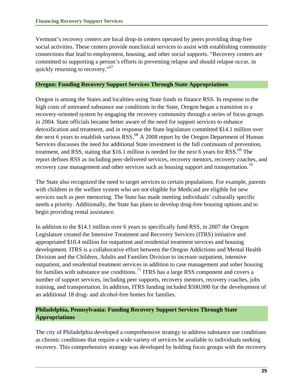<span id="page-32-0"></span>Vermont's recovery centers are local drop-in centers operated by peers providing drug-free social activities. These centers provide nonclinical services to assist with establishing community connections that lead to employment, housing, and other social supports. "Recovery centers are committed to supporting a person's efforts in preventing relapse and should relapse occur, in quickly returning to recovery."<sup>[67](#page-49-0)</sup>

#### **Oregon: Funding Recovery Support Services Through State Appropriations**

Oregon is among the States and localities using State funds to finance RSS. In response to the high costs of untreated substance use conditions in the State, Oregon began a transition to a recovery-oriented system by engaging the recovery community through a series of focus groups in 2004. State officials became better aware of the need for support services to enhance detoxification and treatment, and in response the State legislature committed \$14.1 million over the next 6 years to establish various RSS. $^{68}$  $^{68}$  $^{68}$  A 2008 report by the Oregon Department of Human Services discusses the need for additional State investment in the full continuum of prevention, treatment, and RSS, stating that \$16.1 million is needed for the next 6 years for RSS.<sup>[69](#page-49-0)</sup> The report defines RSS as including peer-delivered services, recovery mentors, recovery coaches, and recovery case management and other services such as housing support and transportation.<sup>[70](#page-49-0)</sup>

The State also recognized the need to target services to certain populations. For example, parents with children in the welfare system who are not eligible for Medicaid are eligible for new services such as peer mentoring. The State has made meeting individuals' culturally specific needs a priority. Additionally, the State has plans to develop drug-free housing options and to begin providing rental assistance.

In addition to the \$14.1 million over 6 years to specifically fund RSS, in 2007 the Oregon Legislature created the Intensive Treatment and Recovery Services (ITRS) initiative and appropriated \$10.4 million for outpatient and residential treatment services and housing development. ITRS is a collaborative effort between the Oregon Addictions and Mental Health Division and the Children, Adults and Families Division to increase outpatient, intensive outpatient, and residential treatment services in addition to case management and sober housing for families with substance use conditions.<sup>[71](#page-49-0)</sup> ITRS has a large RSS component and covers a number of support services, including peer supports, recovery mentors, recovery coaches, jobs training, and transportation. In addition, ITRS funding included \$500,000 for the development of an additional 18 drug- and alcohol-free homes for families.

#### **Philadelphia, Pennsylvania: Funding Recovery Support Services Through State Appropriations**

The city of Philadelphia developed a comprehensive strategy to address substance use conditions as chronic conditions that require a wide variety of services be available to individuals seeking recovery. This comprehensive strategy was developed by holding focus groups with the recovery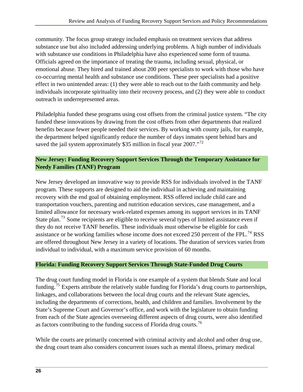<span id="page-33-0"></span>community. The focus group strategy included emphasis on treatment services that address substance use but also included addressing underlying problems. A high number of individuals with substance use conditions in Philadelphia have also experienced some form of trauma. Officials agreed on the importance of treating the trauma, including sexual, physical, or emotional abuse. They hired and trained about 200 peer specialists to work with those who have co-occurring mental health and substance use conditions. These peer specialists had a positive effect in two unintended areas: (1) they were able to reach out to the faith community and help individuals incorporate spirituality into their recovery process, and (2) they were able to conduct outreach in underrepresented areas.

Philadelphia funded these programs using cost offsets from the criminal justice system. "The city funded these innovations by drawing from the cost offsets from other departments that realized benefits because fewer people needed their services. By working with county jails, for example, the department helped significantly reduce the number of days inmates spent behind bars and saved the jail system approximately \$35 million in fiscal year 2007."<sup>[72](#page-49-0)</sup>

#### **New Jersey: Funding Recovery Support Services Through the Temporary Assistance for Needy Families (TANF) Program**

New Jersey developed an innovative way to provide RSS for individuals involved in the TANF program. These supports are designed to aid the individual in achieving and maintaining recovery with the end goal of obtaining employment. RSS offered include child care and transportation vouchers, parenting and nutrition education services, case management, and a limited allowance for necessary work-related expenses among its support services in its TANF State plan.<sup>[73](#page-49-0)</sup> Some recipients are eligible to receive several types of limited assistance even if they do not receive TANF benefits. These individuals must otherwise be eligible for cash assistance or be working families whose income does not exceed 250 percent of the FPL.<sup>[74](#page-49-0)</sup> RSS are offered throughout New Jersey in a variety of locations. The duration of services varies from individual to individual, with a maximum service provision of 60 months.

#### **Florida: Funding Recovery Support Services Through State-Funded Drug Courts**

The drug court funding model in Florida is one example of a system that blends State and local funding.[75](#page-49-0) Experts attribute the relatively stable funding for Florida's drug courts to partnerships, linkages, and collaborations between the local drug courts and the relevant State agencies, including the departments of corrections, health, and children and families. Involvement by the State's Supreme Court and Governor's office, and work with the legislature to obtain funding from each of the State agencies overseeing different aspects of drug courts, were also identified as factors contributing to the funding success of Florida drug courts.<sup>[76](#page-49-0)</sup>

While the courts are primarily concerned with criminal activity and alcohol and other drug use, the drug court team also considers concurrent issues such as mental illness, primary medical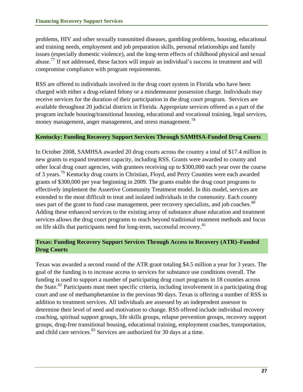<span id="page-34-0"></span>problems, HIV and other sexually transmitted diseases, gambling problems, housing, educational and training needs, employment and job preparation skills, personal relationships and family issues (especially domestic violence), and the long-term effects of childhood physical and sexual abuse.[77](#page-49-0) If not addressed, these factors will impair an individual's success in treatment and will compromise compliance with program requirements.

RSS are offered to individuals involved in the drug court system in Florida who have been charged with either a drug-related felony or a misdemeanor possession charge. Individuals may receive services for the duration of their participation in the drug court program. Services are available throughout 20 judicial districts in Florida. Appropriate services offered as a part of the program include housing/transitional housing, educational and vocational training, legal services, money management, anger management, and stress management.<sup>[78](#page-49-0)</sup>

#### **Kentucky: Funding Recovery Support Services Through SAMHSA-Funded Drug Courts**

In October 2008, SAMHSA awarded 20 drug courts across the country a total of \$17.4 million in new grants to expand treatment capacity, including RSS. Grants were awarded to county and other local drug court agencies, with grantees receiving up to \$300,000 each year over the course of 3 years.[79](#page-49-0) Kentucky drug courts in Christian, Floyd, and Perry Counties were each awarded grants of \$300,000 per year beginning in 2009. The grants enable the drug court programs to effectively implement the Assertive Community Treatment model. In this model, services are extended to the most difficult to treat and isolated individuals in the community. Each county uses part of the grant to fund case management, peer recovery specialists, and job coaches.<sup>[80](#page-49-0)</sup> Adding these enhanced services to the existing array of substance abuse education and treatment services allows the drug court programs to reach beyond traditional treatment methods and focus on life skills that participants need for long-term, successful recovery.<sup>[81](#page-49-0)</sup>

#### **Texas: Funding Recovery Support Services Through Access to Recovery (ATR)–Funded Drug Courts**

Texas was awarded a second round of the ATR grant totaling \$4.5 million a year for 3 years. The goal of the funding is to increase access to services for substance use conditions overall. The funding is used to support a number of participating drug court programs in 18 counties across the State.[82](#page-49-0) Participants must meet specific criteria, including involvement in a participating drug court and use of methamphetamine in the previous 90 days. Texas is offering a number of RSS in addition to treatment services. All individuals are assessed by an independent assessor to determine their level of need and motivation to change. RSS offered include individual recovery coaching, spiritual support groups, life skills groups, relapse prevention groups, recovery support groups, drug-free transitional housing, educational training, employment coaches, transportation, and child care services.<sup>[83](#page-49-0)</sup> Services are authorized for 30 days at a time.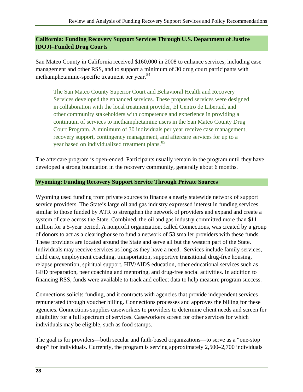#### <span id="page-35-0"></span>**California: Funding Recovery Support Services Through U.S. Department of Justice (DOJ)–Funded Drug Courts**

San Mateo County in California received \$160,000 in 2008 to enhance services, including case management and other RSS, and to support a minimum of 30 drug court participants with methamphetamine-specific treatment per year.<sup>[84](#page-49-0)</sup>

The San Mateo County Superior Court and Behavioral Health and Recovery Services developed the enhanced services. These proposed services were designed in collaboration with the local treatment provider, El Centro de Libertad, and other community stakeholders with competence and experience in providing a continuum of services to methamphetamine users in the San Mateo County Drug Court Program. A minimum of 30 individuals per year receive case management, recovery support, contingency management, and aftercare services for up to a year based on individualized treatment plans.<sup>[85](#page-49-0)</sup>

The aftercare program is open-ended. Participants usually remain in the program until they have developed a strong foundation in the recovery community, generally about 6 months.

#### **Wyoming: Funding Recovery Support Service Through Private Sources**

Wyoming used funding from private sources to finance a nearly statewide network of support service providers. The State's large oil and gas industry expressed interest in funding services similar to those funded by ATR to strengthen the network of providers and expand and create a system of care across the State. Combined, the oil and gas industry committed more than \$11 million for a 5-year period. A nonprofit organization, called Connections, was created by a group of donors to act as a clearinghouse to fund a network of 53 smaller providers with these funds. These providers are located around the State and serve all but the western part of the State. Individuals may receive services as long as they have a need. Services include family services, child care, employment coaching, transportation, supportive transitional drug-free housing, relapse prevention, spiritual support, HIV/AIDS education, other educational services such as GED preparation, peer coaching and mentoring, and drug-free social activities. In addition to financing RSS, funds were available to track and collect data to help measure program success.

Connections solicits funding, and it contracts with agencies that provide independent services remunerated through voucher billing. Connections processes and approves the billing for these agencies. Connections supplies caseworkers to providers to determine client needs and screen for eligibility for a full spectrum of services. Caseworkers screen for other services for which individuals may be eligible, such as food stamps.

The goal is for providers—both secular and faith-based organizations—to serve as a "one-stop shop" for individuals. Currently, the program is serving approximately 2,500–2,700 individuals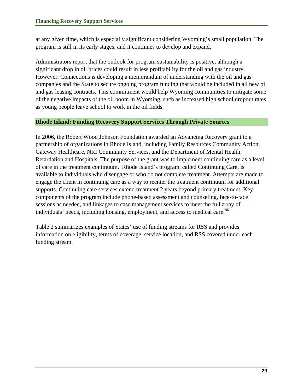<span id="page-36-0"></span>at any given time, which is especially significant considering Wyoming's small population. The program is still in its early stages, and it continues to develop and expand.

Administrators report that the outlook for program sustainability is positive, although a significant drop in oil prices could result in less profitability for the oil and gas industry. However, Connections is developing a memorandum of understanding with the oil and gas companies and the State to secure ongoing program funding that would be included in all new oil and gas leasing contracts. This commitment would help Wyoming communities to mitigate some of the negative impacts of the oil boom in Wyoming, such as increased high school dropout rates as young people leave school to work in the oil fields.

#### **Rhode Island: Funding Recovery Support Services Through Private Sources**

In 2006, the Robert Wood Johnson Foundation awarded an Advancing Recovery grant to a partnership of organizations in Rhode Island, including Family Resources Community Action, Gateway Healthcare, NRI Community Services, and the Department of Mental Health, Retardation and Hospitals. The purpose of the grant was to implement continuing care as a level of care in the treatment continuum. Rhode Island's program, called Continuing Care, is available to individuals who disengage or who do not complete treatment. Attempts are made to engage the client in continuing care as a way to reenter the treatment continuum for additional supports. Continuing care services extend treatment 2 years beyond primary treatment. Key components of the program include phone-based assessment and counseling, face-to-face sessions as needed, and linkages to case management services to meet the full array of individuals' needs, including housing, employment, and access to medical care.<sup>[86](#page-50-0)</sup>

Table 2 summarizes examples of States' use of funding streams for RSS and provides information on eligibility, terms of coverage, service location, and RSS covered under each funding stream.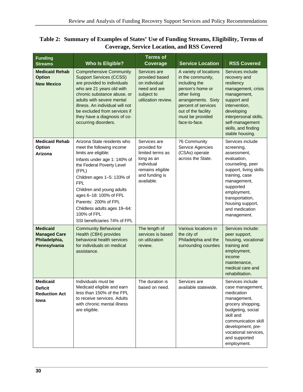<span id="page-37-0"></span>

| <b>Funding</b><br><b>Streams</b>                                        | <b>Who Is Eligible?</b>                                                                                                                                                                                                                                                                                                                                    | <b>Terms of</b><br>Coverage                                                                                                      | <b>Service Location</b>                                                                                                                                                                                    | <b>RSS Covered</b>                                                                                                                                                                                                                              |
|-------------------------------------------------------------------------|------------------------------------------------------------------------------------------------------------------------------------------------------------------------------------------------------------------------------------------------------------------------------------------------------------------------------------------------------------|----------------------------------------------------------------------------------------------------------------------------------|------------------------------------------------------------------------------------------------------------------------------------------------------------------------------------------------------------|-------------------------------------------------------------------------------------------------------------------------------------------------------------------------------------------------------------------------------------------------|
| <b>Medicaid Rehab</b><br><b>Option</b><br><b>New Mexico</b>             | <b>Comprehensive Community</b><br><b>Support Services (CCSS)</b><br>are provided to individuals<br>who are 21 years old with<br>chronic substance abuse, or<br>adults with severe mental<br>illness. An individual will not<br>be excluded from services if<br>they have a diagnosis of co-<br>occurring disorders.                                        | Services are<br>provided based<br>on individual<br>need and are<br>subject to<br>utilization review.                             | A variety of locations<br>in the community,<br>including the<br>person's home or<br>other living<br>arrangements. Sixty<br>percent of services<br>out of the facility<br>must be provided<br>face-to-face. | Services include<br>recovery and<br>resiliency<br>management, crisis<br>management,<br>support and<br>intervention,<br>developing<br>interpersonal skills,<br>self-management<br>skills, and finding<br>stable housing.                         |
| <b>Medicaid Rehab</b><br>Option<br>Arizona                              | Arizona State residents who<br>meet the following income<br>limits are eligible:<br>Infants under age 1: 140% of<br>the Federal Poverty Level<br>(FPL)<br>Children ages 1-5: 133% of<br>FPL.<br>Children and young adults<br>ages 6-18: 100% of FPL<br>Parents: 200% of FPL<br>Childless adults ages 19-64:<br>100% of FPL<br>SSI beneficiaries 74% of FPL | Services are<br>provided for<br>limited terms as<br>long as an<br>individual<br>remains eligible<br>and funding is<br>available. | 76 Community<br>Service Agencies<br>(CSAs) operate<br>across the State.                                                                                                                                    | Services include<br>screening,<br>assessment,<br>evaluation,<br>counseling, peer<br>support, living skills<br>training, case<br>management,<br>supported<br>employment,<br>transportation,<br>housing support,<br>and medication<br>management. |
| <b>Medicaid</b><br><b>Managed Care</b><br>Philadelphia,<br>Pennsylvania | <b>Community Behavioral</b><br>Health (CBH) provides<br>behavioral health services<br>for individuals on medical<br>assistance.                                                                                                                                                                                                                            | The length of<br>services is based<br>on utilization<br>review.                                                                  | Various locations in<br>the city of<br>Philadelphia and the<br>surrounding counties                                                                                                                        | Services include:<br>peer support,<br>housing, vocational<br>training and<br>employment,<br>income<br>maintenance,<br>medical care and<br>rehabilitation.                                                                                       |
| <b>Medicaid</b><br><b>Deficit</b><br><b>Reduction Act</b><br>lowa       | Individuals must be<br>Medicaid eligible and earn<br>less than 150% of the FPL<br>to receive services. Adults<br>with chronic mental illness<br>are eligible.                                                                                                                                                                                              | The duration is<br>based on need.                                                                                                | Services are<br>available statewide.                                                                                                                                                                       | Services include<br>case management,<br>medication<br>management,<br>grocery shopping,<br>budgeting, social<br>skill and<br>communication skill<br>development, pre-<br>vocational services,<br>and supported<br>employment.                    |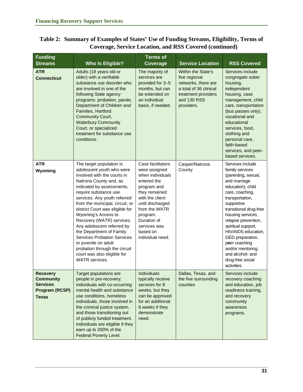| <b>Funding</b><br><b>Streams</b>                                                                | <b>Who Is Eligible?</b>                                                                                                                                                                                                                                                                                                                                                                                                                                                                                                                  | <b>Terms of</b><br>Coverage                                                                                                                                                                                                              | <b>Service Location</b>                                                                                                                  | <b>RSS Covered</b>                                                                                                                                                                                                                                                                                                                                                                      |
|-------------------------------------------------------------------------------------------------|------------------------------------------------------------------------------------------------------------------------------------------------------------------------------------------------------------------------------------------------------------------------------------------------------------------------------------------------------------------------------------------------------------------------------------------------------------------------------------------------------------------------------------------|------------------------------------------------------------------------------------------------------------------------------------------------------------------------------------------------------------------------------------------|------------------------------------------------------------------------------------------------------------------------------------------|-----------------------------------------------------------------------------------------------------------------------------------------------------------------------------------------------------------------------------------------------------------------------------------------------------------------------------------------------------------------------------------------|
| <b>ATR</b><br><b>Connecticut</b>                                                                | Adults (18 years old or<br>older) with a verifiable<br>substance use disorder who<br>are involved in one of the<br>following State agency<br>programs: probation, parole,<br>Department of Children and<br>Families, Hartford<br>Community Court,<br><b>Waterbury Community</b><br>Court, or specialized<br>treatment for substance use<br>conditions.                                                                                                                                                                                   | The majority of<br>services are<br>provided for 3-5<br>months, but can<br>be extended on<br>an individual<br>basis, if needed.                                                                                                           | Within the State's<br>five regional<br>networks, there are<br>a total of 36 clinical<br>treatment providers<br>and 130 RSS<br>providers. | Services include<br>congregate sober<br>housing,<br>independent<br>housing, case<br>management, child<br>care, transportation<br>(bus passes only),<br>vocational and<br>educational<br>services, food,<br>clothing and<br>personal care,<br>faith-based<br>services, and peer-<br>based services.                                                                                      |
| <b>ATR</b><br>Wyoming                                                                           | The target population is<br>adolescent youth who were<br>involved with the courts in<br>Natrona County and, as<br>indicated by assessments,<br>require substance use<br>services. Any youth referred<br>from the municipal, circuit, or<br>district Court was eligible for<br>Wyoming's Access to<br>Recovery (WATR) services.<br>Any adolescent referred by<br>the Department of Family<br><b>Services Probation Services</b><br>or juvenile on adult<br>probation through the circuit<br>court was also eligible for<br>WATR services. | Case facilitators<br>were assigned<br>when individuals<br>entered the<br>program and<br>they remained<br>with the client<br>until discharged<br>from the WATR<br>program.<br>Duration of<br>services was<br>based on<br>individual need. | Casper/Natrona<br>County                                                                                                                 | Services include<br>family services<br>(parenting, sexual,<br>and marriage<br>education), child<br>care, coaching,<br>transportation,<br>supportive<br>transitional drug-free<br>housing services,<br>relapse prevention,<br>spiritual support,<br>HIV/AIDS education,<br>GED preparation,<br>peer coaching<br>and/or mentoring,<br>and alcohol- and<br>drug-free social<br>activities. |
| <b>Recovery</b><br><b>Community</b><br><b>Services</b><br><b>Program (RCSP)</b><br><b>Texas</b> | Target populations are<br>people in pre-recovery,<br>individuals with co-occurring<br>mental health and substance<br>use conditions, homeless<br>individuals, those involved in<br>the criminal justice system,<br>and those transitioning out<br>of publicly funded treatment.<br>Individuals are eligible if they<br>earn up to 200% of the<br>Federal Poverty Level.                                                                                                                                                                  | Individuals<br>typically receive<br>services for 8<br>weeks, but they<br>can be approved<br>for an additional<br>8 weeks if they<br>demonstrate<br>need.                                                                                 | Dallas, Texas, and<br>the five surrounding<br>counties                                                                                   | Services include<br>recovery coaching<br>and education, job<br>readiness training,<br>and recovery<br>community<br>awareness<br>programs.                                                                                                                                                                                                                                               |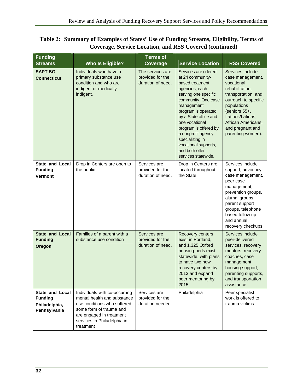| <b>Funding</b><br><b>Streams</b>                                   | <b>Who Is Eligible?</b>                                                                                                                                                                        | <b>Terms of</b><br>Coverage                               | <b>Service Location</b>                                                                                                                                                                                                                                                                                                                         | <b>RSS Covered</b>                                                                                                                                                                                                                      |
|--------------------------------------------------------------------|------------------------------------------------------------------------------------------------------------------------------------------------------------------------------------------------|-----------------------------------------------------------|-------------------------------------------------------------------------------------------------------------------------------------------------------------------------------------------------------------------------------------------------------------------------------------------------------------------------------------------------|-----------------------------------------------------------------------------------------------------------------------------------------------------------------------------------------------------------------------------------------|
| <b>SAPT BG</b><br><b>Connecticut</b>                               | Individuals who have a<br>primary substance use<br>condition and who are<br>indigent or medically<br>indigent.                                                                                 | The services are<br>provided for the<br>duration of need. | Services are offered<br>at 24 community-<br>based treatment<br>agencies, each<br>serving one specific<br>community. One case<br>management<br>program is operated<br>by a State office and<br>one vocational<br>program is offered by<br>a nonprofit agency<br>specializing in<br>vocational supports,<br>and both offer<br>services statewide. | Services include<br>case management,<br>vocational<br>rehabilitation,<br>transportation, and<br>outreach to specific<br>populations<br>(seniors 55+,<br>Latinos/Latinas,<br>African Americans,<br>and pregnant and<br>parenting women). |
| State and Local<br><b>Funding</b><br>Vermont                       | Drop in Centers are open to<br>the public.                                                                                                                                                     | Services are<br>provided for the<br>duration of need.     | Drop in Centers are<br>located throughout<br>the State.                                                                                                                                                                                                                                                                                         | Services include<br>support, advocacy,<br>case management,<br>peer case<br>management,<br>prevention groups,<br>alumni groups,<br>parent support<br>groups, telephone<br>based follow up<br>and annual<br>recovery checkups.            |
| <b>State and Local</b><br><b>Funding</b><br>Oregon                 | Families of a parent with a<br>substance use condition                                                                                                                                         | Services are<br>provided for the<br>duration of need.     | Recovery centers<br>exist in Portland,<br>and 1,325 Oxford<br>housing beds exist<br>statewide, with plans<br>to have two new<br>recovery centers by<br>2013 and expand<br>peer mentoring by<br>2015.                                                                                                                                            | Services include<br>peer-delivered<br>services, recovery<br>mentors, recovery<br>coaches, case<br>management,<br>housing support,<br>parenting supports,<br>and transportation<br>assistance.                                           |
| State and Local<br><b>Funding</b><br>Philadelphia,<br>Pennsylvania | Individuals with co-occurring<br>mental health and substance<br>use conditions who suffered<br>some form of trauma and<br>are engaged in treatment<br>services in Philadelphia in<br>treatment | Services are<br>provided for the<br>duration needed.      | Philadelphia                                                                                                                                                                                                                                                                                                                                    | Peer specialist<br>work is offered to<br>trauma victims.                                                                                                                                                                                |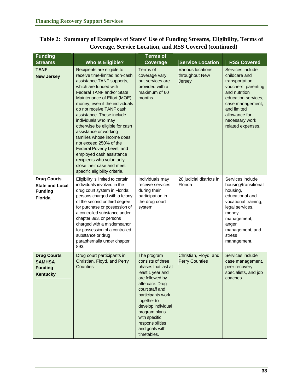| <b>Funding</b>                                                                   |                                                                                                                                                                                                                                                                                                                                                                                                                                                                                                                                                                                  | <b>Terms of</b>                                                                                                                                                                                                                                                                       |                                                      |                                                                                                                                                                                                               |
|----------------------------------------------------------------------------------|----------------------------------------------------------------------------------------------------------------------------------------------------------------------------------------------------------------------------------------------------------------------------------------------------------------------------------------------------------------------------------------------------------------------------------------------------------------------------------------------------------------------------------------------------------------------------------|---------------------------------------------------------------------------------------------------------------------------------------------------------------------------------------------------------------------------------------------------------------------------------------|------------------------------------------------------|---------------------------------------------------------------------------------------------------------------------------------------------------------------------------------------------------------------|
| <b>Streams</b>                                                                   | <b>Who Is Eligible?</b>                                                                                                                                                                                                                                                                                                                                                                                                                                                                                                                                                          | Coverage                                                                                                                                                                                                                                                                              | <b>Service Location</b>                              | <b>RSS Covered</b>                                                                                                                                                                                            |
| <b>TANF</b><br><b>New Jersey</b>                                                 | Recipients are eligible to<br>receive time-limited non-cash<br>assistance TANF supports,<br>which are funded with<br><b>Federal TANF and/or State</b><br>Maintenance of Effort (MOE)<br>money, even if the individuals<br>do not receive TANF cash<br>assistance. These include<br>individuals who may<br>otherwise be eligible for cash<br>assistance or working<br>families whose income does<br>not exceed 250% of the<br>Federal Poverty Level, and<br>employed cash assistance<br>recipients who voluntarily<br>close their case and meet<br>specific eligibility criteria. | Terms of<br>coverage vary,<br>but services are<br>provided with a<br>maximum of 60<br>months.                                                                                                                                                                                         | <b>Various locations</b><br>throughout New<br>Jersey | Services include<br>childcare and<br>transportation<br>vouchers, parenting<br>and nutrition<br>education services,<br>case management,<br>and limited<br>allowance for<br>necessary work<br>related expenses. |
| <b>Drug Courts</b><br><b>State and Local</b><br><b>Funding</b><br><b>Florida</b> | Eligibility is limited to certain<br>individuals involved in the<br>drug court system in Florida:<br>persons charged with a felony<br>of the second or third degree<br>for purchase or possession of<br>a controlled substance under<br>chapter 893, or persons<br>charged with a misdemeanor<br>for possession of a controlled<br>substance or drug<br>paraphernalia under chapter<br>893.                                                                                                                                                                                      | Individuals may<br>receive services<br>during their<br>participation in<br>the drug court<br>system.                                                                                                                                                                                  | 20 judicial districts in<br>Florida                  | Services include<br>housing/transitional<br>housing,<br>educational and<br>vocational training,<br>legal services,<br>money<br>management,<br>anger<br>management, and<br>stress<br>management.               |
| <b>Drug Courts</b><br><b>SAMHSA</b><br><b>Funding</b><br>Kentucky                | Drug court participants in<br>Christian, Floyd, and Perry<br>Counties                                                                                                                                                                                                                                                                                                                                                                                                                                                                                                            | The program<br>consists of three<br>phases that last at<br>least 1 year and<br>are followed by<br>aftercare. Drug<br>court staff and<br>participants work<br>together to<br>develop individual<br>program plans<br>with specific<br>responsibilities<br>and goals with<br>timetables. | Christian, Floyd, and<br><b>Perry Counties</b>       | Services include<br>case management,<br>peer recovery<br>specialists, and job<br>coaches.                                                                                                                     |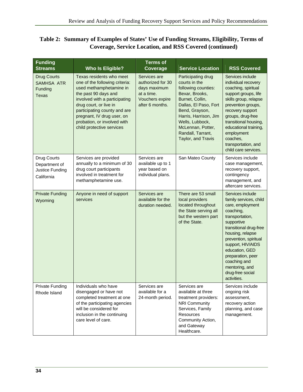| <b>Funding</b><br><b>Streams</b>                                   | <b>Who Is Eligible?</b>                                                                                                                                                                                                                                                                            | <b>Terms of</b><br>Coverage                                                                           | <b>Service Location</b>                                                                                                                                                                                                                                | <b>RSS Covered</b>                                                                                                                                                                                                                                                                                                   |
|--------------------------------------------------------------------|----------------------------------------------------------------------------------------------------------------------------------------------------------------------------------------------------------------------------------------------------------------------------------------------------|-------------------------------------------------------------------------------------------------------|--------------------------------------------------------------------------------------------------------------------------------------------------------------------------------------------------------------------------------------------------------|----------------------------------------------------------------------------------------------------------------------------------------------------------------------------------------------------------------------------------------------------------------------------------------------------------------------|
| <b>Drug Courts</b><br><b>SAMHSA ATR</b><br>Funding<br><b>Texas</b> | Texas residents who meet<br>one of the following criteria:<br>used methamphetamine in<br>the past 90 days and<br>involved with a participating<br>drug court, or live in<br>participating county and are<br>pregnant, IV drug user, on<br>probation, or involved with<br>child protective services | Services are<br>authorized for 30<br>days maximum<br>at a time.<br>Vouchers expire<br>after 6 months. | Participating drug<br>courts in the<br>following counties:<br>Bexar, Brooks,<br>Burnet, Collin,<br>Dallas, El Paso, Fort<br>Bend, Grayson,<br>Harris, Harrison, Jim<br>Wells, Lubbock,<br>McLennan, Potter,<br>Randall, Tarrant,<br>Taylor, and Travis | Services include<br>individual recovery<br>coaching, spiritual<br>support groups, life<br>skills group, relapse<br>prevention groups,<br>recovery support<br>groups, drug-free<br>transitional housing,<br>educational training,<br>employment<br>coaches,<br>transportation, and<br>child care services.            |
| Drug Courts<br>Department of<br>Justice Funding<br>California      | Services are provided<br>annually to a minimum of 30<br>drug court participants<br>involved in treatment for<br>methamphetamine use.                                                                                                                                                               | Services are<br>available up to 1<br>year based on<br>individual plans.                               | San Mateo County                                                                                                                                                                                                                                       | Services include<br>case management,<br>recovery support,<br>contingency<br>management, and<br>aftercare services.                                                                                                                                                                                                   |
| <b>Private Funding</b><br>Wyoming                                  | Anyone in need of support<br>services                                                                                                                                                                                                                                                              | Services are<br>available for the<br>duration needed.                                                 | There are 53 small<br>local providers<br>located throughout<br>the State serving all<br>but the western part<br>of the State.                                                                                                                          | Services include<br>family services, child<br>care, employment<br>coaching,<br>transportation,<br>supportive<br>transitional drug-free<br>housing, relapse<br>prevention, spiritual<br>support, HIV/AIDS<br>education, GED<br>preparation, peer<br>coaching and<br>mentoring, and<br>drug-free social<br>activities. |
| Private Funding<br>Rhode Island                                    | Individuals who have<br>disengaged or have not<br>completed treatment at one<br>of the participating agencies<br>will be considered for<br>inclusion in the continuing<br>care level of care.                                                                                                      | Services are<br>available for a<br>24-month period.                                                   | Services are<br>available at three<br>treatment providers:<br><b>NRI Community</b><br>Services, Family<br>Resources<br>Community Action,<br>and Gateway<br>Healthcare.                                                                                 | Services include<br>ongoing risk<br>assessment,<br>recovery action<br>planning, and case<br>management.                                                                                                                                                                                                              |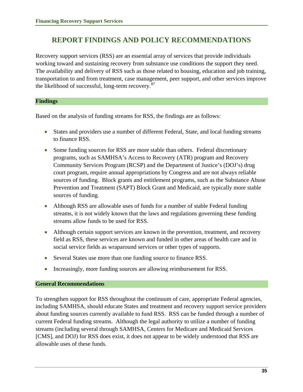## <span id="page-42-0"></span>**REPORT FINDINGS AND POLICY RECOMMENDATIONS**

Recovery support services (RSS) are an essential array of services that provide individuals working toward and sustaining recovery from substance use conditions the support they need. The availability and delivery of RSS such as those related to housing, education and job training, transportation to and from treatment, case management, peer support, and other services improve the likelihood of successful, long-term recovery.<sup>[87](#page-50-1)</sup>

#### **Findings**

Based on the analysis of funding streams for RSS, the findings are as follows:

- States and providers use a number of different Federal, State, and local funding streams to finance RSS.
- Some funding sources for RSS are more stable than others. Federal discretionary programs, such as SAMHSA's Access to Recovery (ATR) program and Recovery Community Services Program (RCSP) and the Department of Justice's (DOJ's) drug court program, require annual appropriations by Congress and are not always reliable sources of funding. Block grants and entitlement programs, such as the Substance Abuse Prevention and Treatment (SAPT) Block Grant and Medicaid, are typically more stable sources of funding.
- Although RSS are allowable uses of funds for a number of stable Federal funding streams, it is not widely known that the laws and regulations governing these funding streams allow funds to be used for RSS.
- Although certain support services are known in the prevention, treatment, and recovery field as RSS, these services are known and funded in other areas of health care and in social service fields as wraparound services or other types of supports.
- Several States use more than one funding source to finance RSS.
- Increasingly, more funding sources are allowing reimbursement for RSS.

#### **General Recommendations**

To strengthen support for RSS throughout the continuum of care, appropriate Federal agencies, including SAMHSA, should educate States and treatment and recovery support service providers about funding sources currently available to fund RSS. RSS can be funded through a number of current Federal funding streams. Although the legal authority to utilize a number of funding streams (including several through SAMHSA, Centers for Medicare and Medicaid Services [CMS], and DOJ) for RSS does exist, it does not appear to be widely understood that RSS are allowable uses of these funds.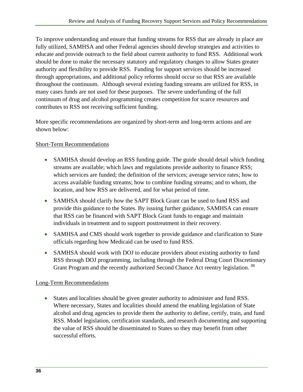To improve understanding and ensure that funding streams for RSS that are already in place are fully utilized, SAMHSA and other Federal agencies should develop strategies and activities to educate and provide outreach to the field about current authority to fund RSS. Additional work should be done to make the necessary statutory and regulatory changes to allow States greater authority and flexibility to provide RSS. Funding for support services should be increased through appropriations, and additional policy reforms should occur so that RSS are available throughout the continuum. Although several existing funding streams are utilized for RSS, in many cases funds are not used for these purposes. The severe underfunding of the full continuum of drug and alcohol programming creates competition for scarce resources and contributes to RSS not receiving sufficient funding.

More specific recommendations are organized by short-term and long-term actions and are shown below:

#### Short-Term Recommendations

- SAMHSA should develop an RSS funding guide. The guide should detail which funding streams are available; which laws and regulations provide authority to finance RSS; which services are funded; the definition of the services; average service rates; how to access available funding streams; how to combine funding streams; and to whom, the location, and how RSS are delivered, and for what period of time.
- SAMHSA should clarify how the SAPT Block Grant can be used to fund RSS and provide this guidance to the States. By issuing further guidance, SAMHSA can ensure that RSS can be financed with SAPT Block Grant funds to engage and maintain individuals in treatment and to support posttreatment in their recovery.
- SAMHSA and CMS should work together to provide guidance and clarification to State officials regarding how Medicaid can be used to fund RSS.
- SAMHSA should work with DOJ to educate providers about existing authority to fund RSS through DOJ programming, including through the Federal Drug Court Discretionary Grant Program and the recently authorized Second Chance Act reentry legislation. <sup>[88](#page-50-1)</sup>

#### Long-Term Recommendations

• States and localities should be given greater authority to administer and fund RSS. Where necessary, States and localities should amend the enabling legislation of State alcohol and drug agencies to provide them the authority to define, certify, train, and fund RSS. Model legislation, certification standards, and research documenting and supporting the value of RSS should be disseminated to States so they may benefit from other successful efforts.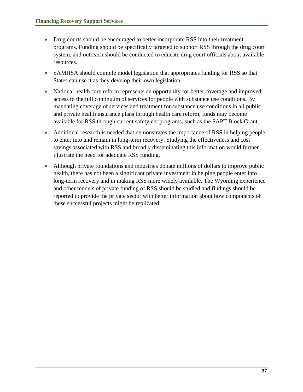- Drug courts should be encouraged to better incorporate RSS into their treatment programs. Funding should be specifically targeted to support RSS through the drug court system, and outreach should be conducted to educate drug court officials about available resources.
- SAMHSA should compile model legislation that appropriates funding for RSS so that States can use it as they develop their own legislation.
- National health care reform represents an opportunity for better coverage and improved access to the full continuum of services for people with substance use conditions. By mandating coverage of services and treatment for substance use conditions in all public and private health insurance plans through health care reform, funds may become available for RSS through current safety net programs, such as the SAPT Block Grant.
- Additional research is needed that demonstrates the importance of RSS in helping people to enter into and remain in long-term recovery. Studying the effectiveness and cost savings associated with RSS and broadly disseminating this information would further illustrate the need for adequate RSS funding.
- Although private foundations and industries donate millions of dollars to improve public health, there has not been a significant private investment in helping people enter into long-term recovery and in making RSS more widely available. The Wyoming experience and other models of private funding of RSS should be studied and findings should be reported to provide the private sector with better information about how components of these successful projects might be replicated.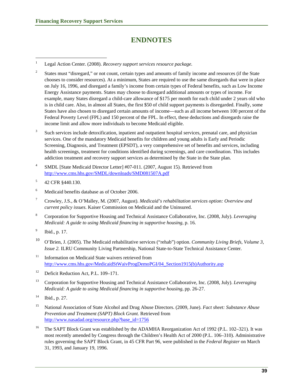## **ENDNOTES**

<span id="page-46-1"></span>1 Legal Action Center. (2008). *Recovery support services resource package.*

- 2 States must "disregard," or not count, certain types and amounts of family income and resources (if the State chooses to consider resources). At a minimum, States are required to use the same disregards that were in place on July 16, 1996, and disregard a family's income from certain types of Federal benefits, such as Low Income Energy Assistance payments. States may choose to disregard additional amounts or types of income. For example, many States disregard a child-care allowance of \$175 per month for each child under 2 years old who is in child care. Also, in almost all States, the first \$50 of child support payments is disregarded. Finally, some States have also chosen to disregard certain amounts of income—such as all income between 100 percent of the Federal Poverty Level (FPL) and 150 percent of the FPL. In effect, these deductions and disregards raise the income limit and allow more individuals to become Medicaid eligible.
- 3 Such services include detoxification, inpatient and outpatient hospital services, prenatal care, and physician services. One of the mandatory Medicaid benefits for children and young adults is Early and Periodic Screening, Diagnosis, and Treatment (EPSDT), a very comprehensive set of benefits and services, including health screenings, treatment for conditions identified during screenings, and care coordination. This includes addiction treatment and recovery support services as determined by the State in the State plan.
- 4 SMDL [State Medicaid Director Letter] #07-011. (2007, August 15). Retrieved from <http://www.cms.hhs.gov/SMDL/downloads/SMD081507A.pdf>
- 5 42 CFR §440.130.

<span id="page-46-2"></span><span id="page-46-0"></span> $\overline{a}$ 

- 6 Medicaid benefits database as of October 2006.
- 7 Crowley, J.S., & O'Malley, M. (2007, August). *Medicaid's rehabilitation services option: Overview and current policy issues.* Kaiser Commission on Medicaid and the Uninsured.
- 8 Corporation for Supportive Housing and Technical Assistance Collaborative, Inc. (2008, July). *Leveraging Medicaid: A guide to using Medicaid financing in supportive housing*, p. 16.
- 9 Ibid., p. 17.
- 10 O'Brien, J. (2005). The Medicaid rehabilitative services ("rehab") option. *Community Living Briefs, Volume 3, Issue 2.* ILRU Community Living Partnership, National State-to-State Technical Assistance Center*.*
- <sup>11</sup> Information on Medicaid State waivers retrieved from [http://www.cms.hhs.gov/MedicaidStWaivProgDemoPGI/04\\_Section1915\(b\)Authority.asp](http://www.cms.hhs.gov/MedicaidStWaivProgDemoPGI/04_Section1915(b)Authority.asp)
- <sup>12</sup> Deficit Reduction Act, P.L. 109–171.
- 13 Corporation for Supportive Housing and Technical Assistance Collaborative, Inc. (2008, July). *Leveraging Medicaid: A guide to using Medicaid financing in supportive housing*, pp. 26-27.
- $14$  Ibid., p. 27.
- 15 National Association of State Alcohol and Drug Abuse Directors. (2009, June). *Fact sheet: Substance Abuse Prevention and Treatment (SAPT) Block Grant.* Retrieved from [http://www.nasadad.org/resource.php?base\\_id=1756](http://www.nasadad.org/resource.php?base_id=1756)
- <sup>16</sup> The SAPT Block Grant was established by the ADAMHA Reorganization Act of 1992 (P.L. 102–321). It was most recently amended by Congress through the Children's Health Act of 2000 (P.L. 106–310). Administrative rules governing the SAPT Block Grant, in 45 CFR Part 96, were published in the *Federal Register* on March 31, 1993, and January 19, 1996.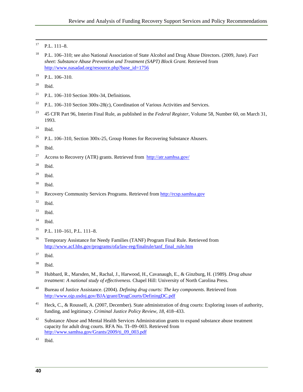- <span id="page-47-0"></span> $17$  P.L.  $111-8$ .
- 18 P.L. 106–310; see also National Association of State Alcohol and Drug Abuse Directors. (2009, June). *Fact sheet: Substance Abuse Prevention and Treatment (SAPT) Block Grant.* Retrieved from [http://www.nasadad.org/resource.php?base\\_id=1756](http://www.nasadad.org/resource.php?base_id=1756)
- $19$  P.L.  $106-310$ .
- $20$  Ibid.
- <span id="page-47-1"></span><sup>21</sup> P.L. 106–310 Section 300x-34, Definitions.
- <sup>22</sup> P.L. 106–310 Section 300x-28(c), Coordination of Various Activities and Services.
- 23 45 CFR Part 96, Interim Final Rule, as published in the *Federal Register*, Volume 58, Number 60, on March 31, 1993.
- $24$  Ibid.
- <sup>25</sup> P.L. 106–310, Section 300x-25, Group Homes for Recovering Substance Abusers.
- $26$  Ibid.
- <sup>27</sup> Access to Recovery (ATR) grants. Retrieved from  $\frac{http://atr.samhsa.gov/}{http://atr.samhsa.gov/}$  $\frac{http://atr.samhsa.gov/}{http://atr.samhsa.gov/}$  $\frac{http://atr.samhsa.gov/}{http://atr.samhsa.gov/}$
- 28 Ibid.
- $29$  Ibid.
- 30 Ibid.
- 31 Recovery Community Services Programs. Retrieved from [http://rcsp.samhsa.gov](http://rcsp.samhsa.gov/)
- $32$  Ibid.
- 33 Ibid.
- $34$  Ibid.
- 35 P.L. 110–161, P.L. 111–8.
- <sup>36</sup> Temporary Assistance for Needy Families (TANF) Program Final Rule. Retrieved from [http://www.acf.hhs.gov/programs/ofa/law-reg/finalrule/tanf\\_final\\_rule.htm](http://www.acf.hhs.gov/programs/ofa/law-reg/finalrule/tanf_final_rule.htm)
- <span id="page-47-2"></span>37 Ibid.
- 38 Ibid.
- 39 Hubbard, R., Marsden, M., Rachal, J., Harwood, H., Cavanaugh, E., & Ginzburg, H. (1989). *Drug abuse treatment: A national study of effectiveness.* Chapel Hill: University of North Carolina Press.
- 40 Bureau of Justice Assistance. (2004). *Defining drug courts: The key components*. Retrieved from <http://www.ojp.usdoj.gov/BJA/grant/DrugCourts/DefiningDC.pdf>
- <sup>41</sup> Heck, C., & Roussell, A. (2007, December). State administration of drug courts: Exploring issues of authority, funding, and legitimacy. *Criminal Justice Policy Review, 18,* 418–433.
- <sup>42</sup> Substance Abuse and Mental Health Services Administration grants to expand substance abuse treatment capacity for adult drug courts. RFA No. TI–09–003. Retrieved from [http://www.samhsa.gov/Grants/2009/ti\\_09\\_003.pdf](http://www.samhsa.gov/Grants/2009/ti_09_003.pdf)
- 43 Ibid.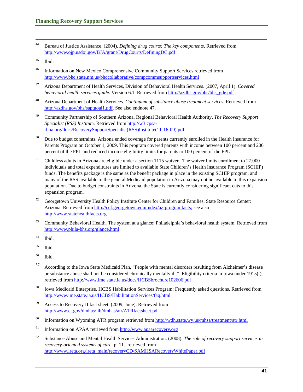44 Bureau of Justice Assistance. (2004). *Defining drug courts: The key components*. Retrieved from <http://www.ojp.usdoj.gov/BJA/grant/DrugCourts/DefiningDC.pdf>

- 46 Information on New Mexico Comprehensive Community Support Services retrieved from <http://www.bhc.state.nm.us/bhccollaborative/compcommsupportservices.html>
- 47 Arizona Department of Health Services, Division of Behavioral Health Services. (2007, April 1). *Covered behavioral health services guide.* Version 6.1. Retrieved from [http://azdhs.gov/bhs/bhs\\_gde.pdf](http://azdhs.gov/bhs/bhs_gde.pdf)
- 48 Arizona Department of Health Services. *Continuum of substance abuse treatment services.* Retrieved from [http://azdhs.gov/bhs/saptgoal1.pdf.](http://azdhs.gov/bhs/saptgoal1.pdf) See also endnote 47.
- 49 Community Partnership of Southern Arizona. Regional Behavioral Health Authority. *The Recovery Support Specialist (RSS) Institute.* Retrieved from [http://w3.cpsa](http://w3.cpsa-rbha.org/docs/RecoverySupportSpecialist(RSS)Institute(11-16-09).pdf)[rbha.org/docs/RecoverySupportSpecialist\(RSS\)Institute\(11-16-09\).pdf](http://w3.cpsa-rbha.org/docs/RecoverySupportSpecialist(RSS)Institute(11-16-09).pdf)
- <sup>50</sup> Due to budget constraints, Arizona ended coverage for parents currently enrolled in the Health Insurance for Parents Program on October 1, 2009. This program covered parents with income between 100 percent and 200 percent of the FPL and reduced income eligibility limits for parents to 100 percent of the FPL.
- <sup>51</sup> Childless adults in Arizona are eligible under a section 1115 waiver. The waiver limits enrollment to 27,000 individuals and total expenditures are limited to available State Children's Health Insurance Program (SCHIP) funds. The benefits package is the same as the benefit package in place in the existing SCHIP program, and many of the RSS available to the general Medicaid population in Arizona may not be available to this expansion population. Due to budget constraints in Arizona, the State is currently considering significant cuts to this expansion program.
- <sup>52</sup> Georgetown University Health Policy Institute Center for Children and Families. State Resource Center: Arizona. Retrieved from [http://ccf.georgetown.edu/index/az-programfacts;](http://ccf.georgetown.edu/index/az-programfacts) see also [http://www.statehealthfacts.org](http://www.statehealthfacts.org/)
- <sup>53</sup> Community Behavioral Health. The system at a glance: Philadelphia's behavioral health system. Retrieved from <http://www.phila-bhs.org/glance.html>
- 54 Ibid.
- 55 Ibid.
- <span id="page-48-0"></span>56 Ibid.
- 57 According to the Iowa State Medicaid Plan, "People with mental disorders resulting from Alzheimer's disease or substance abuse shall not be considered chronically mentally ill." Eligibility criteria in Iowa under 1915(i), retrieved from <http://www.ime.state.ia.us/docs/HCBSbrochure102606.pdf>
- 58 Iowa Medicaid Enterprise. HCBS Habilitation Services Program: Frequently asked questions. Retrieved from <http://www.ime.state.ia.us/HCBS/HabilitationServices/faq.html>
- 59 Access to Recovery II fact sheet. (2009, June). Retrieved from <http://www.ct.gov/dmhas/lib/dmhas/atr/ATRfactsheet.pdf>
- <sup>60</sup> Information on Wyoming ATR program retrieved from http://wdh.state.wy.us/mhsa/treatment/atr.html
- 61 Information on APAA retrieved from [http://www.apaarecovery.org](http://www.apaarecovery.org/)
- 62 Substance Abuse and Mental Health Services Administration. (2008). *The role of recovery support services in recovery-oriented systems of care*, p. 11. retrieved from [http://www.ireta.org/ireta\\_main/recoveryCD/SAMHSARecoveryWhitePaper.pdf](http://www.ireta.org/ireta_main/recoveryCD/SAMHSARecoveryWhitePaper.pdf)

 $45$  Ibid.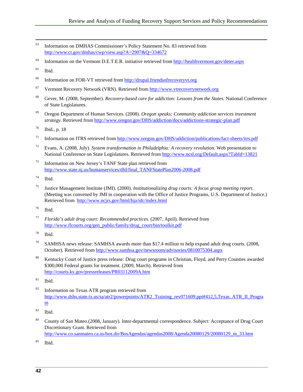- 63 Information on DMHAS Commissioner's Policy Statement No. 83 retrieved from <http://www.ct.gov/dmhas/cwp/view.asp?A=2907&Q=334672>
- 64 Information on the Vermont D.E.T.E.R. initiative retrieved from <http://healthvermont.gov/deter.aspx>

 $<sup>65</sup>$  Ibid.</sup>

- 66 Information on FOR-VT retrieved from [http://drupal.friendsofrecoveryvt.org](http://drupal.friendsofrecoveryvt.org/)
- 67 Vermont Recovery Network (VRN). Retrieved from [http://www.vtrecoverynetwork.org](http://www.vtrecoverynetwork.org/)
- 68 Gever, M. (2008, September). *Recovery-based care for addiction: Lessons from the States.* National Conference of State Legislatures.
- 69 Oregon Department of Human Services. (2008). *Oregon speaks: Community addiction services investment strategy.* Retrieved from<http://www.oregon.gov/DHS/addiction/docs/addictions-strategic-plan.pdf>
- 70 Ibid., p. 18
- <sup>71</sup> Information on ITRS retrieved from http://www.oregon.gov/DHS/addiction/publications/fact-sheets/itrs.pdf
- 72 Evans, A. (2008, July). *System transformation in Philadelphia: A recovery revolution.* Web presentation to National Conference on State Legislatures. Retrieved from <http://www.ncsl.org/Default.aspx?TabId=13821>
- Information on New Jersey's TANF State plan retrieved from [http://www.state.nj.us/humanservices/dfd/final\\_TANFStatePlan2006-2008.pdf](http://www.state.nj.us/humanservices/dfd/final_TANFStatePlan2006-2008.pdf)
- 74 Ibid.
- 75 Justice Management Institute (JMI). (2000). *Institutionalizing drug courts: A focus group meeting report.* (Meeting was convened by JMI in cooperation with the Office of Justice Programs, U.S. Department of Justice.) Retrieved from <http://www.ncjrs.gov/html/bja/idc/index.html>
- 76 Ibid.
- 77 *Florida's adult drug court: Recommended practices.* (2007, April). Retrieved from [http://www.flcourts.org/gen\\_public/family/drug\\_court/bin/toolkit.pdf](http://www.flcourts.org/gen_public/family/drug_court/bin/toolkit.pdf)
- 78 Ibid.
- <sup>79</sup> SAMHSA news release: SAMHSA awards more than \$17.4 million to help expand adult drug courts. (2008, October). Retrieved from <http://www.samhsa.gov/newsroom/advisories/0810075304.aspx>
- <span id="page-49-0"></span><sup>80</sup> Kentucky Court of Justice press release: Drug court programs in Christian, Floyd, and Perry Counties awarded \$300,000 Federal grants for treatment. (2009, March). Retrieved from <http://courts.ky.gov/pressreleases/PR03112009A.htm>
- $81$  Ibid.
- <sup>82</sup> Information on Texas ATR program retrieved from [http://www.dshs.state.tx.us/sa/atr2/powerpoints/ATR2\\_Training\\_rev071609.ppt#412,5,Texas\\_ATR\\_II\\_Progra](http://www.dshs.state.tx.us/sa/atr2/powerpoints/ATR2_Training_rev071609.ppt#412,5,Texas_ATR_II_Program) [m](http://www.dshs.state.tx.us/sa/atr2/powerpoints/ATR2_Training_rev071609.ppt#412,5,Texas_ATR_II_Program)
- 83 Ibid.
- 84 County of San Mateo.(2008, January). Inter-departmental correspondence. Subject: Acceptance of Drug Court Discretionary Grant. Retrieved from
	- [http://www.co.sanmateo.ca.us/bos.dir/BosAgendas/agendas2008/Agenda20080129/20080129\\_m\\_33.htm](http://www.co.sanmateo.ca.us/bos.dir/BosAgendas/agendas2008/Agenda20080129/20080129_m_33.htm)
- 85 Ibid.